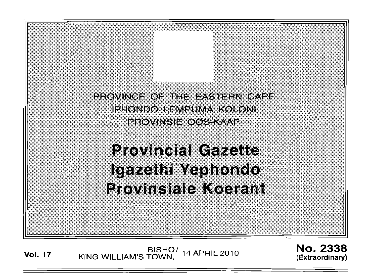

**Vol. <sup>17</sup>** BISHO/ KING WILLIAM'S TOWN, 14 APRIL 2010

No. 2338 (Extraordinary)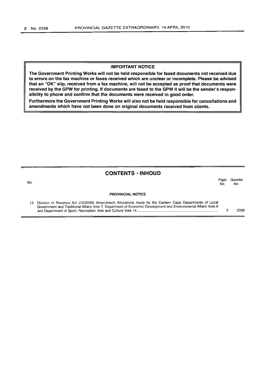No.

#### **IMPORTANT NOTICE**

**The Government Printing Works will not be held responsible for faxed documents not received due to errors on the fax machine or faxes received which are unclear or incomplete. Please be advised that an "OK" slip, received from a fax machine, will not be accepted as proof that documents were received by the GPW for printing. If documents are faxed to the GPW it will be the sender's responsibility to phone and confirm that the documents were received in good order.**

**Furthermore the Government Printing Works will also not be held responsible for cancellations and amendments which have not been done on original documents received from clients.**

#### **CONTENTS ·INHOUD**

*Page Gazette* No. No.

#### **PROVINCIAL NOTICE**

| 13 Division of Revenue Act (12/2009): Amendment: Allocations made by the Eastern Cape Departments of Local     |      |
|----------------------------------------------------------------------------------------------------------------|------|
| Government and Traditional Affairs Vote 7, Department of Economic Development and Environmental Affairs Vote 9 |      |
|                                                                                                                | 2338 |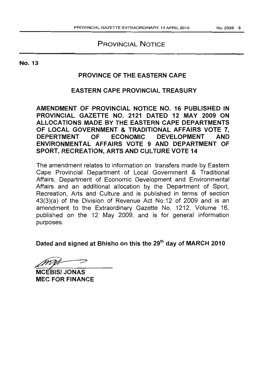## PROVINCIAL NOTICE

## PROVINCE OF THE EASTERN CAPE

## EASTERN CAPE PROVINCIAL TREASURY

AMENDMENT OF PROVINCIAL NOTICE NO. 16 PUBLISHED IN PROVINCIAL GAZETTE NO. 2121 DATED 12 MAY 2009 ON ALLOCATIONS MADE BY THE EASTERN CAPE DEPARTMENTS OF LOCAL GOVERNMENT & TRADITIONAL AFFAIRS VOTE 7, DEPERTMENT OF ECONOMIC DEVELOPMENT AND ENVIRONMENTAL AFFAIRS VOTE 9 AND DEPARTMENT OF SPORT, RECREATION, ARTS AND CULTURE VOTE 14

The amendment relates to information on transfers made by Eastern Cape Provincial Department of Local Government & Traditional Affairs, Department of Economic Development and Environmental Affairs and an additional allocation by the Department of Sport, Recreation, Arts and Culture and is published in terms of section 43(3)(a) of the Division of Revenue Act No.12 of 2009 and is an amendment to the Extraordinary Gazette No. 1212, Volume 16, published on the 12 May 2009, and is for general information purposes.

Dated and signed at Bhisho on this the 29<sup>th</sup> day of MARCH 2010

**MCEBISI JONAS** MEC FOR FINANCE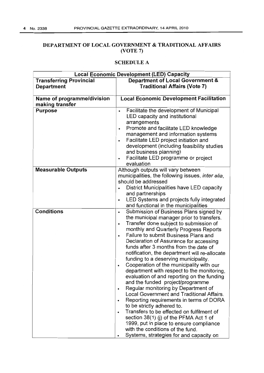#### DEPARTMENT OF LOCAL GOVERNMENT & TRADITIONAL AFFAIRS (VOTE 7)

|                                                     | <b>Local Economic Development (LED) Capacity</b>                                                                                                                                                                                                                                                                                                                                                                                                                                                                                                                                                                                                                                                                                                                                                                                                                                                                                                                                                                                 |
|-----------------------------------------------------|----------------------------------------------------------------------------------------------------------------------------------------------------------------------------------------------------------------------------------------------------------------------------------------------------------------------------------------------------------------------------------------------------------------------------------------------------------------------------------------------------------------------------------------------------------------------------------------------------------------------------------------------------------------------------------------------------------------------------------------------------------------------------------------------------------------------------------------------------------------------------------------------------------------------------------------------------------------------------------------------------------------------------------|
| <b>Transferring Provincial</b><br><b>Department</b> | Department of Local Government &<br><b>Traditional Affairs (Vote 7)</b>                                                                                                                                                                                                                                                                                                                                                                                                                                                                                                                                                                                                                                                                                                                                                                                                                                                                                                                                                          |
| Name of programme/division<br>making transfer       | <b>Local Economic Development Facilitation</b>                                                                                                                                                                                                                                                                                                                                                                                                                                                                                                                                                                                                                                                                                                                                                                                                                                                                                                                                                                                   |
| <b>Purpose</b>                                      | Facilitate the development of Municipal<br>$\bullet$<br>LED capacity and institutional<br>arrangements<br>Promote and facilitate LED knowledge<br>$\bullet$<br>management and information systems<br>Facilitate LED project initiation and<br>development (including feasibility studies<br>and business planning)<br>Facilitate LED programme or project<br>evaluation                                                                                                                                                                                                                                                                                                                                                                                                                                                                                                                                                                                                                                                          |
| <b>Measurable Outputs</b>                           | Although outputs will vary between<br>municipalities, the following issues, inter alia,<br>should be addressed<br>District Municipalities have LED capacity<br>and partnerships<br>LED Systems and projects fully integrated<br>$\bullet$<br>and functional in the municipalities                                                                                                                                                                                                                                                                                                                                                                                                                                                                                                                                                                                                                                                                                                                                                |
| <b>Conditions</b>                                   | Submission of Business Plans signed by<br>٠<br>the municipal manager prior to transfers.<br>Transfer done subject to submission of<br>$\bullet$<br>monthly and Quarterly Progress Reports<br>Failure to submit Business Plans and<br>$\bullet$<br>Declaration of Assurance for accessing<br>funds after 3 months from the date of<br>notification, the department will re-allocate<br>funding to a deserving municipality.<br>Cooperation of the municipality with our<br>department with respect to the monitoring,<br>evaluation of and reporting on the funding<br>and the funded project/programme<br>Regular monitoring by Department of<br>$\bullet$<br>Local Government and Traditional Affairs.<br>Reporting requirements in terms of DORA<br>$\bullet$<br>to be strictly adhered to.<br>Transfers to be effected on fulfilment of<br>$\bullet$<br>section 38(1) (j) of the PFMA Act 1 of<br>1999, put in place to ensure compliance<br>with the conditions of the fund.<br>Systems, strategies for and capacity on<br>٠ |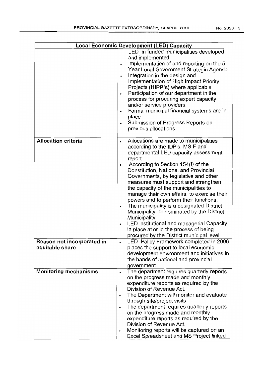|                                               | Local Economic Development (LED) Capacity                                                                                                                                                                                                                                                                                                                                                                                                                                                                                                                                                                                                                                                                                     |
|-----------------------------------------------|-------------------------------------------------------------------------------------------------------------------------------------------------------------------------------------------------------------------------------------------------------------------------------------------------------------------------------------------------------------------------------------------------------------------------------------------------------------------------------------------------------------------------------------------------------------------------------------------------------------------------------------------------------------------------------------------------------------------------------|
|                                               | LED in funded municipalities developed<br>and implemented<br>Implementation of and reporting on the 5<br>$\bullet$<br>Year Local Government Strategic Agenda<br>Integration in the design and<br>Implementation of High Impact Priority<br>Projects (HIPP's) where applicable<br>Participation of our department in the<br>process for procuring expert capacity<br>and/or service providers.<br>Formal municipal financial systems are in<br>$\bullet$<br>place<br>Submission of Progress Reports on<br>$\bullet$<br>previous allocations                                                                                                                                                                                    |
| <b>Allocation criteria</b>                    | Allocations are made to municipalities<br>٠<br>according to the IDP's, MSIF and<br>departmental LED capacity assessment<br>report<br>According to Section 154(I) of the<br>$\bullet$<br><b>Constitution, National and Provincial</b><br>Governments, by legislative and other<br>measures must support and strengthen<br>the capacity of the municipalities to<br>manage their own affairs, to exercise their<br>powers and to perform their functions.<br>The municipality is a designated District<br>٠<br>Municipality or nominated by the District<br><b>Municipality</b><br>LED institutional and managerial Capacity<br>$\bullet$<br>in place at or in the process of being<br>procured by the District municipal level |
| Reason not incorporated in<br>equitable share | LED Policy Framework completed in 2006<br>places the support to local economic<br>development environment and initiatives in<br>the hands of national and provincial<br>government                                                                                                                                                                                                                                                                                                                                                                                                                                                                                                                                            |
| <b>Monitoring mechanisms</b>                  | The department requires quarterly reports<br>$\bullet$<br>on the progress made and monthly<br>expenditure reports as required by the<br>Division of Revenue Act.<br>The Department will monitor and evaluate<br>$\bullet$<br>through site/project visits<br>The department requires quarterly reports<br>٠<br>on the progress made and monthly<br>expenditure reports as required by the<br>Division of Revenue Act.<br>Monitoring reports will be captured on an<br>$\bullet$<br>Excel Spreadsheet and MS Project linked                                                                                                                                                                                                     |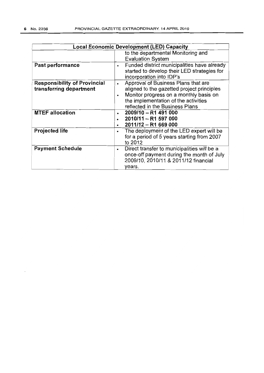|                                                                |                        | <b>Local Economic Development (LED) Capacity</b>                                                                                                                                                       |
|----------------------------------------------------------------|------------------------|--------------------------------------------------------------------------------------------------------------------------------------------------------------------------------------------------------|
|                                                                |                        | to the departmental Monitoring and<br><b>Evaluation System</b>                                                                                                                                         |
| Past performance                                               | $\bullet$              | Funded district municipalities have already<br>started to develop their LED strategies for<br>incorporation into IDP's                                                                                 |
| <b>Responsibility of Provincial</b><br>transferring department | $\bullet$<br>$\bullet$ | Approval of Business Plans that are<br>aligned to the gazetted project principles<br>Monitor progress on a monthly basis on<br>the implementation of the activities<br>reflected in the Business Plans |
| <b>MTEF allocation</b>                                         |                        | 2009/10 - R1 491 000<br>2010/11 - R1 597 000<br>2011/12 - R1 669 000                                                                                                                                   |
| <b>Projected life</b>                                          | $\bullet$              | The deployment of the LED expert will be<br>for a period of 5 years starting from 2007<br>to 2012                                                                                                      |
| <b>Payment Schedule</b>                                        | $\bullet$              | Direct transfer to municipalities will be a<br>once-off payment during the month of July<br>2009/10, 2010/11 & 2011/12 financial<br>years.                                                             |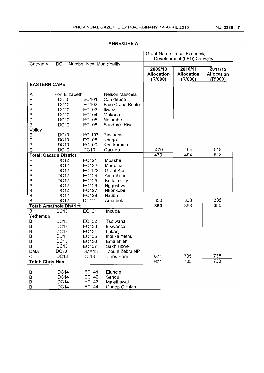|                                           |                                 |                   | <b>Grant Name: Local Economic</b> |                              |                              |                              |
|-------------------------------------------|---------------------------------|-------------------|-----------------------------------|------------------------------|------------------------------|------------------------------|
|                                           |                                 |                   | Development (LED) Capacity        |                              |                              |                              |
| DC<br>Number New Municipality<br>Category |                                 |                   |                                   |                              |                              |                              |
|                                           |                                 |                   |                                   | 2009/10                      | 2010/11                      | 2011/12                      |
|                                           |                                 |                   |                                   | <b>Allocation</b><br>(R'000) | <b>Allocation</b><br>(R'000) | <b>Allocation</b><br>(R'000) |
| <b>EASTERN CAPE</b>                       |                                 |                   |                                   |                              |                              |                              |
|                                           |                                 |                   |                                   |                              |                              |                              |
| Α                                         | Port Elizabeth                  |                   | Nelson Mandela                    |                              |                              |                              |
| B                                         | DCI <sub>0</sub>                | EC101             | Camdeboo                          |                              |                              |                              |
| B                                         | <b>DC10</b>                     | EC102             | <b>Blue Crane Route</b>           |                              |                              |                              |
| В                                         | <b>DC10</b>                     | EC103             | Ikwezi                            |                              |                              |                              |
| B                                         | <b>DC10</b>                     | EC104             | Makana                            |                              |                              |                              |
| B                                         | <b>DC10</b>                     | EC105             | Ndlambe                           |                              |                              |                              |
| B                                         | <b>DC10</b>                     | EC106             | Sunday's River                    |                              |                              |                              |
| Valley                                    |                                 |                   |                                   |                              |                              |                              |
| B                                         | <b>DC10</b>                     | EC 107            | <b>Baviaans</b>                   |                              |                              |                              |
| B                                         | <b>DC10</b>                     | EC108             | Kouga                             |                              |                              |                              |
| B                                         | <b>DC10</b>                     | EC109             | Kou-kamma                         |                              |                              |                              |
| C                                         | <b>DC10</b>                     | <b>DC10</b>       | Cacadu                            | 470                          | 494                          | 518                          |
|                                           | <b>Total: Cacadu District</b>   |                   |                                   | 470                          | 494                          | 518                          |
| $\overline{B}$                            | DC12                            | EC121             | Mbashe                            |                              |                              |                              |
| B                                         | <b>DC12</b>                     | EC122             | Mnquma                            |                              |                              |                              |
| B                                         | <b>DC12</b>                     | EC 123            | <b>Great Kei</b>                  |                              |                              |                              |
| B                                         | <b>DC12</b>                     | EC124             | Amahlathi                         |                              |                              |                              |
| B<br>B                                    | <b>DC12</b><br><b>DC12</b>      | EC125<br>EC126    | <b>Buffalo City</b><br>Ngqushwa   |                              |                              |                              |
| B                                         | <b>DC12</b>                     | EC127             | Nkonkobe                          |                              |                              |                              |
| B                                         | <b>DC12</b>                     | EC128             | Nxuba                             |                              |                              |                              |
| B                                         | <b>DC12</b>                     | <b>DC12</b>       | Amathole                          | 350                          | 368                          | 385                          |
|                                           | <b>Total: Amathole District</b> |                   |                                   | 350                          | 368                          | 385                          |
| $\overline{B}$                            | <b>DC13</b>                     | EC131             | Inxuba                            |                              |                              |                              |
| Yethemba                                  |                                 |                   |                                   |                              |                              |                              |
| B                                         | <b>DC13</b>                     | EC132             | Tsolwana                          |                              |                              |                              |
| B                                         | <b>DC13</b>                     | EC133             | Inkwanca                          |                              |                              |                              |
| B                                         | <b>DC13</b>                     | EC134             | Lukanji                           |                              |                              |                              |
| B                                         | <b>DC13</b>                     | EC135             | Intsika Yethu                     |                              |                              |                              |
| B                                         | <b>DC13</b>                     | EC136             | Emalahleni                        |                              |                              |                              |
| B                                         | <b>DC13</b>                     | EC137             | Sakhisizwe                        |                              |                              |                              |
| <b>DMA</b>                                | DC13                            | DMA <sub>13</sub> | Mount Zebra NP                    |                              |                              |                              |
| С                                         | <b>DC13</b>                     | <b>DC13</b>       | Chris Hani                        | 671                          | 705                          | 738                          |
| <b>Total: Chris Hani</b>                  |                                 |                   |                                   | $\overline{671}$             | $\overline{705}$             | 738                          |
|                                           |                                 |                   |                                   |                              |                              |                              |
| B                                         | <b>DC14</b><br><b>DC14</b>      | EC141<br>EC142    | Elundini                          |                              |                              |                              |
| B                                         | <b>DC14</b>                     | EC143             | Senqu<br>Malethswai               |                              |                              |                              |
| B<br>B                                    | <b>DC14</b>                     | EC144             | Gariep Oviston                    |                              |                              |                              |
|                                           |                                 |                   |                                   |                              |                              |                              |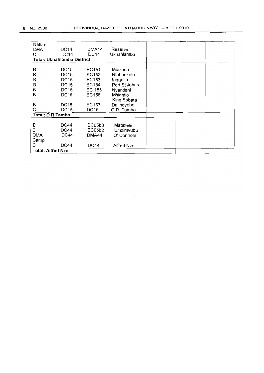| Nature                            |             |             |               |  |  |
|-----------------------------------|-------------|-------------|---------------|--|--|
| DMA                               | DC14        | DMA14       | Reserve       |  |  |
| С                                 | <b>DC14</b> | <b>DC14</b> | Ukhahlamba    |  |  |
| <b>Total: Ukhahlamba District</b> |             |             |               |  |  |
|                                   |             |             |               |  |  |
| B                                 | <b>DC15</b> | EC151       | Mbizana       |  |  |
| B                                 | <b>DC15</b> | EC152       | Ntabankulu    |  |  |
| B                                 | <b>DC15</b> | EC153       | Ingquza       |  |  |
| B                                 | <b>DC15</b> | EC154       | Port St Johns |  |  |
| B                                 | <b>DC15</b> | EC 155      | Nyandeni      |  |  |
| B                                 | <b>DC15</b> | EC156       | Mhlontlo      |  |  |
|                                   |             |             | King Sabata   |  |  |
| B                                 | <b>DC15</b> | EC157       | Dalindyebo    |  |  |
| C                                 | DC15        | DC15        | O.R. Tambo    |  |  |
| <b>Total: O R Tambo</b>           |             |             |               |  |  |
|                                   |             |             |               |  |  |
| B                                 | DC44        | EC05b3      | Matatiele     |  |  |
| B                                 | DC44        | EC05b2      | Umzimvubu     |  |  |
| <b>DMA</b>                        | <b>DC44</b> | DMA44       | O' Connors    |  |  |
| Camp                              |             |             |               |  |  |
| С                                 | DC44        | DC44        | Alfred Nzo    |  |  |
| <b>Total: Alfred Nzo</b>          |             |             |               |  |  |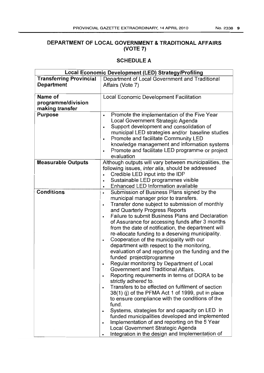## **DEPARTMENT OF LOCAL GOVERNMENT & TRADITIONAL AFFAIRS (VOTE 7)**

| Local Economic Development (LED) Strategy/Profiling |                                                                                                   |  |  |  |
|-----------------------------------------------------|---------------------------------------------------------------------------------------------------|--|--|--|
| <b>Transferring Provincial</b>                      | Department of Local Government and Traditional                                                    |  |  |  |
| <b>Department</b>                                   | Affairs (Vote 7)                                                                                  |  |  |  |
|                                                     |                                                                                                   |  |  |  |
| Name of                                             | <b>Local Economic Development Facilitation</b>                                                    |  |  |  |
| programme/division                                  |                                                                                                   |  |  |  |
| making transfer                                     |                                                                                                   |  |  |  |
| <b>Purpose</b>                                      | Promote the implementation of the Five Year<br>$\bullet$                                          |  |  |  |
|                                                     | Local Government Strategic Agenda                                                                 |  |  |  |
|                                                     | Support development and consolidation of<br>۰                                                     |  |  |  |
|                                                     | municipal LED strategies and/or baseline studies                                                  |  |  |  |
|                                                     | Promote and facilitate Community LED<br>$\bullet$<br>knowledge management and information systems |  |  |  |
|                                                     | Promote and facilitate LED programme or project                                                   |  |  |  |
|                                                     | $\bullet$<br>evaluation                                                                           |  |  |  |
| <b>Measurable Outputs</b>                           | Although outputs will vary between municipalities, the                                            |  |  |  |
|                                                     | following issues, inter alia, should be addressed                                                 |  |  |  |
|                                                     | Credible LED input into the IDP<br>$\bullet$                                                      |  |  |  |
|                                                     | Sustainable LED programmes visible<br>$\bullet$                                                   |  |  |  |
|                                                     | Enhanced LED Information available<br>۰                                                           |  |  |  |
| <b>Conditions</b>                                   | Submission of Business Plans signed by the<br>$\bullet$                                           |  |  |  |
|                                                     | municipal manager prior to transfers.                                                             |  |  |  |
|                                                     | Transfer done subject to submission of monthly<br>$\bullet$                                       |  |  |  |
|                                                     | and Quarterly Progress Reports                                                                    |  |  |  |
|                                                     | <b>Failure to submit Business Plans and Declaration</b><br>$\bullet$                              |  |  |  |
|                                                     | of Assurance for accessing funds after 3 months                                                   |  |  |  |
|                                                     | from the date of notification, the department will                                                |  |  |  |
|                                                     | re-allocate funding to a deserving municipality.                                                  |  |  |  |
|                                                     | Cooperation of the municipality with our<br>$\bullet$                                             |  |  |  |
|                                                     | department with respect to the monitoring,                                                        |  |  |  |
|                                                     | evaluation of and reporting on the funding and the                                                |  |  |  |
|                                                     | funded project/programme                                                                          |  |  |  |
|                                                     | Regular monitoring by Department of Local<br>٠                                                    |  |  |  |
|                                                     | Government and Traditional Affairs.                                                               |  |  |  |
|                                                     | Reporting requirements in terms of DORA to be                                                     |  |  |  |
|                                                     | strictly adhered to.<br>Transfers to be effected on fulfilment of section<br>$\bullet$            |  |  |  |
|                                                     | 38(1) (i) of the PFMA Act 1 of 1999, put in place                                                 |  |  |  |
|                                                     | to ensure compliance with the conditions of the                                                   |  |  |  |
|                                                     | fund.                                                                                             |  |  |  |
|                                                     | Systems, strategies for and capacity on LED in<br>$\bullet$                                       |  |  |  |
|                                                     | funded municipalities developed and implemented                                                   |  |  |  |
|                                                     | Implementation of and reporting on the 5 Year<br>$\bullet$                                        |  |  |  |
|                                                     | Local Government Strategic Agenda                                                                 |  |  |  |
|                                                     | Integration in the design and Implementation of                                                   |  |  |  |
|                                                     |                                                                                                   |  |  |  |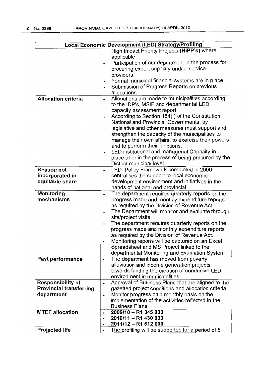|                                | Local Economic Development (LED) Strategy/Profiling                                                          |
|--------------------------------|--------------------------------------------------------------------------------------------------------------|
|                                | High Impact Priority Projects (HIPP's) where                                                                 |
|                                | applicable                                                                                                   |
|                                | Participation of our department in the process for<br>$\bullet$                                              |
|                                | procuring expert capacity and/or service                                                                     |
|                                | providers.                                                                                                   |
|                                | Formal municipal financial systems are in place<br>$\bullet$                                                 |
|                                | Submission of Progress Reports on previous<br>$\bullet$                                                      |
|                                | allocations                                                                                                  |
| <b>Allocation criteria</b>     | Allocations are made to municipalities according<br>٠                                                        |
|                                | to the IDP's, MSIF and departmental LED                                                                      |
|                                | capacity assessment report                                                                                   |
|                                | According to Section 154(I) of the Constitution,<br>$\bullet$                                                |
|                                | National and Provincial Governments, by                                                                      |
|                                | legislative and other measures must support and                                                              |
|                                | strengthen the capacity of the municipalities to                                                             |
|                                | manage their own affairs, to exercise their powers                                                           |
|                                | and to perform their functions.<br>LED institutional and managerial Capacity in                              |
|                                | ٠<br>place at or in the process of being procured by the                                                     |
|                                | District municipal level                                                                                     |
| <b>Reason not</b>              | LED Policy Framework completed in 2006<br>$\bullet$                                                          |
| incorporated in                | centralises the support to local economic                                                                    |
| equitable share                | development environment and initiatives in the                                                               |
|                                | hands of national and provincial                                                                             |
| Monitoring                     | The department requires quarterly reports on the<br>$\bullet$                                                |
| mechanisms                     | progress made and monthly expenditure reports                                                                |
|                                | as required by the Division of Revenue Act.                                                                  |
|                                | The Department will monitor and evaluate through<br>$\bullet$                                                |
|                                | site/project visits                                                                                          |
|                                | The department requires quarterly reports on the<br>٠                                                        |
|                                | progress made and monthly expenditure reports                                                                |
|                                | as required by the Division of Revenue Act.                                                                  |
|                                | Monitoring reports will be captured on an Excel                                                              |
|                                | Spreadsheet and MS Project linked to the                                                                     |
|                                | departmental Monitoring and Evaluation System                                                                |
| Past performance               | The department has moved from poverty<br>$\bullet$                                                           |
|                                | alleviation and income generation projects                                                                   |
|                                | towards funding the creation of conducive LED                                                                |
|                                | environment in municipalities                                                                                |
| <b>Responsibility of</b>       | Approval of Business Plans that are aligned to the<br>$\bullet$                                              |
| <b>Provincial transferring</b> | gazetted project conditions and allocation criteria                                                          |
| department                     | Monitor progress on a monthly basis on the<br>$\bullet$<br>implementation of the activities reflected in the |
|                                | <b>Business Plans.</b>                                                                                       |
| <b>MTEF allocation</b>         | 2009/10 - R1 345 000                                                                                         |
|                                | $\bullet$<br>2010/11 - R1 430 000<br>٠                                                                       |
|                                | 2011/12 - R1 512 000<br>٠                                                                                    |
| <b>Projected life</b>          | The profiling will be supported for a period of 5                                                            |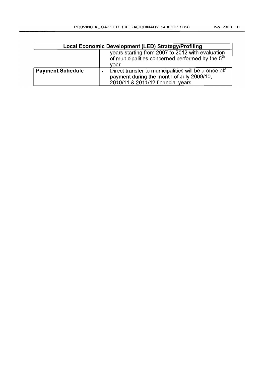| Local Economic Development (LED) Strategy/Profiling                                                                      |                                                                                                                                         |  |  |
|--------------------------------------------------------------------------------------------------------------------------|-----------------------------------------------------------------------------------------------------------------------------------------|--|--|
| years starting from 2007 to 2012 with evaluation<br>of municipalities concerned performed by the 5 <sup>th</sup><br>vear |                                                                                                                                         |  |  |
| <b>Payment Schedule</b>                                                                                                  | Direct transfer to municipalities will be a once-off<br>payment during the month of July 2009/10,<br>2010/11 & 2011/12 financial years. |  |  |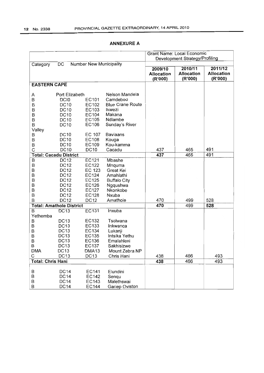|                          |                                 |                                | <b>Grant Name: Local Economic</b> |                                |            |                   |
|--------------------------|---------------------------------|--------------------------------|-----------------------------------|--------------------------------|------------|-------------------|
|                          |                                 |                                |                                   | Development Strategy/Profiling |            |                   |
| Category                 | DC                              | <b>Number New Municipality</b> |                                   |                                |            |                   |
|                          |                                 |                                |                                   | 2009/10                        | 2010/11    | 2011/12           |
|                          |                                 |                                |                                   | <b>Allocation</b>              | Allocation | <b>Allocation</b> |
|                          |                                 |                                |                                   | (R'000)                        | (R'000)    | (R'000)           |
| <b>EASTERN CAPE</b>      |                                 |                                |                                   |                                |            |                   |
|                          |                                 |                                |                                   |                                |            |                   |
| Α                        | Port Elizabeth                  |                                | Nelson Mandela                    |                                |            |                   |
| B                        | DCI <sub>0</sub>                | EC101                          | Camdeboo                          |                                |            |                   |
| B                        | <b>DC10</b>                     | EC102                          | <b>Blue Crane Route</b>           |                                |            |                   |
| B                        | <b>DC10</b>                     | EC103                          | Ikwezi                            |                                |            |                   |
| B                        | <b>DC10</b>                     | EC104                          | Makana                            |                                |            |                   |
| B                        | <b>DC10</b>                     | EC105                          | Ndlambe                           |                                |            |                   |
| B                        | <b>DC10</b>                     | EC106                          | Sunday's River                    |                                |            |                   |
| Valley                   |                                 |                                |                                   |                                |            |                   |
| B                        | <b>DC10</b>                     | EC 107                         | <b>Baviaans</b>                   |                                |            |                   |
| B                        | <b>DC10</b>                     | EC108                          | Kouga                             |                                |            |                   |
| B                        | DC10                            | EC109                          | Kou-kamma                         |                                |            |                   |
| C                        | <b>DC10</b>                     | <b>DC10</b>                    | Cacadu                            | 437                            | 465        | 491               |
|                          | <b>Total: Cacadu District</b>   |                                |                                   | 437                            | 465        | 491               |
| B                        | <b>DC12</b>                     | EC121                          | Mbashe                            |                                |            |                   |
| B                        | <b>DC12</b>                     | EC122                          | Mnquma                            |                                |            |                   |
| B                        | <b>DC12</b>                     | EC 123                         | Great Kei                         |                                |            |                   |
| B                        | <b>DC12</b>                     | EC124                          | Amahlathi                         |                                |            |                   |
| B                        | <b>DC12</b>                     | EC125                          | <b>Buffalo City</b>               |                                |            |                   |
| B                        | <b>DC12</b>                     | EC126                          | Ngqushwa                          |                                |            |                   |
| B                        | <b>DC12</b>                     | EC127                          | Nkonkobe                          |                                |            |                   |
| B                        | <b>DC12</b>                     | EC128                          | Nxuba                             |                                |            |                   |
| B                        | <b>DC12</b>                     | <b>DC12</b>                    | Amathole                          | 470                            | 499        | 528               |
|                          | <b>Total: Amathole District</b> |                                |                                   | 470                            | 499        | 528               |
| B                        | <b>DC13</b>                     | EC131                          | Inxuba                            |                                |            |                   |
| Yethemba                 |                                 |                                |                                   |                                |            |                   |
| B                        | <b>DC13</b>                     | EC132                          | Tsolwana                          |                                |            |                   |
| B                        | <b>DC13</b>                     | EC133                          | Inkwanca                          |                                |            |                   |
| B                        | <b>DC13</b>                     | EC134                          | Lukanji                           |                                |            |                   |
| B                        | <b>DC13</b>                     | EC135                          | Intsika Yethu                     |                                |            |                   |
| B                        | DC13                            | EC136                          | Emalahleni                        |                                |            |                   |
| B                        | DC13                            | EC137                          | Sakhisizwe                        |                                |            |                   |
| <b>DMA</b>               | <b>DC13</b>                     | DMA13                          | Mount Zebra NP                    |                                |            |                   |
| С                        | DC13                            | <b>DC13</b>                    | Chris Hani                        | 438                            | 466        | 493               |
| <b>Total: Chris Hani</b> |                                 |                                |                                   | 438                            | 466        | 493               |
|                          |                                 |                                |                                   |                                |            |                   |
| B                        | DC14                            | EC141                          | Elundini                          |                                |            |                   |
| B                        | DC14                            | EC142                          | Senqu                             |                                |            |                   |
| B                        | <b>DC14</b>                     | <b>EC143</b>                   | Malethswai                        |                                |            |                   |
| B                        | <b>DC14</b>                     | <b>EC144</b>                   | Gariep Oviston                    |                                |            |                   |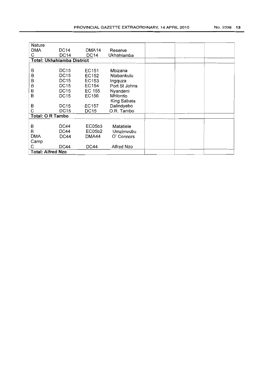| Nature                     |             |              |               |  |  |
|----------------------------|-------------|--------------|---------------|--|--|
| <b>DMA</b>                 | <b>DC14</b> | DMA14        | Reserve       |  |  |
| Ç                          | <b>DC14</b> | <b>DC14</b>  | Ukhahlamba    |  |  |
| Total: Ukhahlamba District |             |              |               |  |  |
|                            |             |              |               |  |  |
| Β                          | <b>DC15</b> | EC151        | Mbizana       |  |  |
| B                          | <b>DC15</b> | EC152        | Ntabankulu    |  |  |
| B                          | <b>DC15</b> | EC153        | Ingquza       |  |  |
| B                          | <b>DC15</b> | EC154        | Port St Johns |  |  |
| B                          | DC15        | EC 155       | Nyandeni      |  |  |
| B                          | <b>DC15</b> | EC156        | Mhiontio      |  |  |
|                            |             |              | King Sabata   |  |  |
| B                          | DC15        | <b>EC157</b> | Dalindyebo    |  |  |
| С                          | DC15        | DC15         | O.R. Tambo    |  |  |
| <b>Total: O R Tambo</b>    |             |              |               |  |  |
|                            |             |              |               |  |  |
| B                          | <b>DC44</b> | EC05b3       | Matatiele     |  |  |
| B                          | <b>DC44</b> | EC05b2       | Umzimvubu     |  |  |
| <b>DMA</b>                 | DC44        | DMA44        | O' Connors    |  |  |
| Camp                       |             |              |               |  |  |
| С                          | DC44        | <b>DC44</b>  | Alfred Nzo    |  |  |
| <b>Total: Alfred Nzo</b>   |             |              |               |  |  |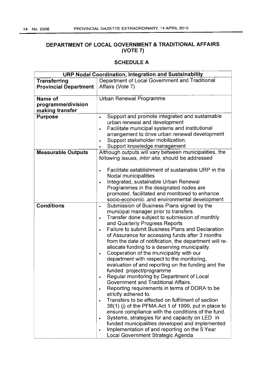#### **DEPARTMENT OF LOCAL GOVERNMENT & TRADITIONAL AFFAIRS (VOTE 7)**

| <b>URP Nodal Coordination, Integration and Sustainability</b> |                                                                                                     |  |  |
|---------------------------------------------------------------|-----------------------------------------------------------------------------------------------------|--|--|
| <b>Transferring</b>                                           | Department of Local Government and Traditional                                                      |  |  |
| <b>Provincial Department</b>                                  | Affairs (Vote 7)                                                                                    |  |  |
|                                                               |                                                                                                     |  |  |
| Name of                                                       | Urban Renewal Programme                                                                             |  |  |
| programme/division                                            |                                                                                                     |  |  |
| making transfer                                               |                                                                                                     |  |  |
| <b>Purpose</b>                                                | Support and promote integrated and sustainable<br>۰                                                 |  |  |
|                                                               | urban renewal and development                                                                       |  |  |
|                                                               | Facilitate municipal systems and institutional                                                      |  |  |
|                                                               | arrangement to drive urban renewal development                                                      |  |  |
|                                                               | Support stakeholder mobilization.                                                                   |  |  |
|                                                               | Support knowledge management                                                                        |  |  |
| <b>Measurable Outputs</b>                                     | Although outputs will vary between municipalities, the                                              |  |  |
|                                                               | following issues, inter alia, should be addressed                                                   |  |  |
|                                                               |                                                                                                     |  |  |
|                                                               | Facilitate establishment of sustainable URP in the                                                  |  |  |
|                                                               | Nodal municipalities                                                                                |  |  |
|                                                               | Integrated, sustainable Urban Renewal                                                               |  |  |
|                                                               | Programmes in the designated nodes are                                                              |  |  |
|                                                               | promoted, facilitated and monitored to enhance                                                      |  |  |
|                                                               | socio-economic .and environmental development                                                       |  |  |
| <b>Conditions</b>                                             | Submission of Business Plans signed by the<br>۰                                                     |  |  |
|                                                               | municipal manager prior to transfers.                                                               |  |  |
|                                                               | Transfer done subject to submission of monthly<br>$\bullet$                                         |  |  |
|                                                               | and Quarterly Progress Reports                                                                      |  |  |
|                                                               | <b>Failure to submit Business Plans and Declaration</b><br>$\bullet$                                |  |  |
|                                                               | of Assurance for accessing funds after 3 months                                                     |  |  |
|                                                               | from the date of notification, the department will re-                                              |  |  |
|                                                               | allocate funding to a deserving municipality.                                                       |  |  |
|                                                               | Cooperation of the municipality with our<br>$\bullet$<br>department with respect to the monitoring, |  |  |
|                                                               | evaluation of and reporting on the funding and the                                                  |  |  |
|                                                               | funded project/programme                                                                            |  |  |
|                                                               | Regular monitoring by Department of Local<br>$\bullet$                                              |  |  |
|                                                               | Government and Traditional Affairs.                                                                 |  |  |
|                                                               | Reporting requirements in terms of DORA to be                                                       |  |  |
|                                                               | strictly adhered to.                                                                                |  |  |
|                                                               | Transfers to be effected on fulfilment of section<br>$\bullet$                                      |  |  |
|                                                               | 38(1) (i) of the PFMA Act 1 of 1999, put in place to                                                |  |  |
|                                                               | ensure compliance with the conditions of the fund.                                                  |  |  |
|                                                               | Systems, strategies for and capacity on LED in<br>$\bullet$                                         |  |  |
|                                                               | funded municipalities developed and implemented                                                     |  |  |
|                                                               | Implementation of and reporting on the 5 Year<br>$\bullet$                                          |  |  |
|                                                               | Local Government Strategic Agenda                                                                   |  |  |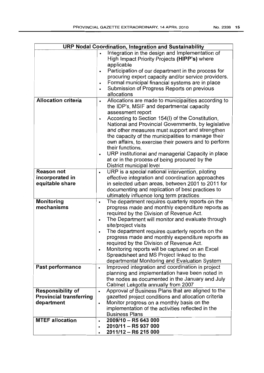|                                                                          | URP Nodal Coordination, Integration and Sustainability                                                                                                                                                                                                                                                                                                                                                                                                                                                                                                                                         |
|--------------------------------------------------------------------------|------------------------------------------------------------------------------------------------------------------------------------------------------------------------------------------------------------------------------------------------------------------------------------------------------------------------------------------------------------------------------------------------------------------------------------------------------------------------------------------------------------------------------------------------------------------------------------------------|
|                                                                          | Integration in the design and Implementation of<br>High Impact Priority Projects (HIPP's) where<br>applicable<br>Participation of our department in the process for<br>$\bullet$<br>procuring expert capacity and/or service providers.<br>Formal municipal financial systems are in place<br>$\bullet$<br>Submission of Progress Reports on previous<br>$\bullet$<br>allocations                                                                                                                                                                                                              |
| <b>Allocation criteria</b>                                               | Allocations are made to municipalities according to<br>$\bullet$<br>the IDP's, MSIF and departmental capacity<br>assessment report<br>According to Section 154(I) of the Constitution,<br>$\bullet$<br>National and Provincial Governments, by legislative<br>and other measures must support and strengthen<br>the capacity of the municipalities to manage their<br>own affairs, to exercise their powers and to perform<br>their functions.<br>URP institutional and managerial Capacity in place<br>$\bullet$<br>at or in the process of being procured by the<br>District municipal level |
| <b>Reason not</b><br>incorporated in<br>equitable share                  | URP is a special national intervention, piloting<br>$\bullet$<br>effective integration and coordination approaches<br>in selected urban areas, between 2001 to 2011 for<br>documenting and replication of best practices to<br>ultimately influence long term practices                                                                                                                                                                                                                                                                                                                        |
| Monitoring<br>mechanisms                                                 | The department requires quarterly reports on the<br>$\bullet$<br>progress made and monthly expenditure reports as<br>required by the Division of Revenue Act.<br>The Department will monitor and evaluate through<br>$\bullet$<br>site/project visits<br>The department requires quarterly reports on the<br>progress made and monthly expenditure reports as<br>required by the Division of Revenue Act.<br>Monitoring reports will be captured on an Excel<br>Spreadsheet and MS Project linked to the<br>departmental Monitoring and Evaluation System                                      |
| Past performance                                                         | Improved integration and coordination in project<br>$\bullet$<br>planning and implementation have been noted in<br>the nodes as documented in the January and July<br>Cabinet Lekgotla annually from 2007                                                                                                                                                                                                                                                                                                                                                                                      |
| <b>Responsibility of</b><br><b>Provincial transferring</b><br>department | Approval of Business Plans that are aligned to the<br>$\bullet$<br>gazetted project conditions and allocation criteria<br>Monitor progress on a monthly basis on the<br>$\bullet$<br>implementation of the activities reflected in the<br><b>Business Plans</b>                                                                                                                                                                                                                                                                                                                                |
| <b>MTEF allocation</b>                                                   | 2009/10 - R5 643 000<br>$\bullet$<br>2010/11 - R5 937 000<br>2011/12 - R6 215 000                                                                                                                                                                                                                                                                                                                                                                                                                                                                                                              |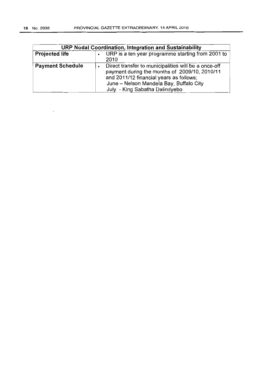| URP Nodal Coordination, Integration and Sustainability |                                                                                                                                                                                                                               |  |  |  |
|--------------------------------------------------------|-------------------------------------------------------------------------------------------------------------------------------------------------------------------------------------------------------------------------------|--|--|--|
| <b>Projected life</b>                                  | URP is a ten year programme starting from 2001 to<br>2010                                                                                                                                                                     |  |  |  |
| <b>Payment Schedule</b>                                | Direct transfer to municipalities will be a once-off<br>payment during the months of 2009/10, 2010/11<br>and 2011/12 financial years as follows;<br>June - Nelson Mandela Bay, Buffalo City<br>July - King Sabatha Dalindyebo |  |  |  |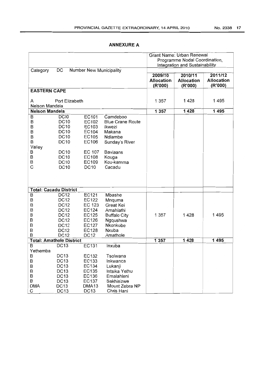|                     |                                  |                                |                         |                   | Grant Name: Urban Renewal      |                   |  |
|---------------------|----------------------------------|--------------------------------|-------------------------|-------------------|--------------------------------|-------------------|--|
|                     |                                  |                                |                         |                   | Programme Nodal Coordination,  |                   |  |
|                     |                                  |                                |                         |                   | Integration and Sustainability |                   |  |
| Category            | DC                               | <b>Number New Municipality</b> |                         |                   |                                |                   |  |
|                     |                                  |                                |                         | 2009/10           | 2010/11                        | 2011/12           |  |
|                     |                                  |                                |                         | <b>Allocation</b> | <b>Allocation</b>              | <b>Allocation</b> |  |
|                     |                                  |                                |                         | (R'000)           | (R'000)                        | (R'000)           |  |
| <b>EASTERN CAPE</b> |                                  |                                |                         |                   |                                |                   |  |
|                     |                                  |                                |                         | 1 3 5 7           | 1428                           | 1495              |  |
| Port Elizabeth<br>A |                                  |                                |                         |                   |                                |                   |  |
|                     | Nelson Mandela<br>Nelson Mandela |                                |                         | 1 3 5 7           | 1428                           | 1495              |  |
| B                   | DC <sub>I0</sub>                 |                                | Camdeboo                |                   |                                |                   |  |
| B                   | <b>DC10</b>                      | EC101<br>EC102                 | <b>Blue Crane Route</b> |                   |                                |                   |  |
| B                   | <b>DC10</b>                      | EC103                          | Ikwezi                  |                   |                                |                   |  |
| B                   | <b>DC10</b>                      | EC104                          |                         |                   |                                |                   |  |
|                     |                                  |                                | Makana                  |                   |                                |                   |  |
| B                   | <b>DC10</b>                      | EC105                          | Ndlambe                 |                   |                                |                   |  |
| B                   | <b>DC10</b>                      | EC106                          | Sunday's River          |                   |                                |                   |  |
| Valley              |                                  |                                |                         |                   |                                |                   |  |
| B                   | <b>DC10</b>                      | EC 107                         | <b>Baviaans</b>         |                   |                                |                   |  |
| B                   | <b>DC10</b>                      | EC108                          | Kouga                   |                   |                                |                   |  |
| B                   | <b>DC10</b>                      | EC109                          | Kou-kamma               |                   |                                |                   |  |
| C                   | <b>DC10</b>                      | <b>DC10</b>                    | Cacadu                  |                   |                                |                   |  |
|                     |                                  |                                |                         |                   |                                |                   |  |
|                     |                                  |                                |                         |                   |                                |                   |  |
|                     | <b>Total: Cacadu District</b>    |                                |                         |                   |                                |                   |  |
| B                   | <b>DC12</b>                      | EC121                          | Mbashe                  |                   |                                |                   |  |
| B                   | <b>DC12</b>                      | EC122                          | Mnquma                  |                   |                                |                   |  |
| B                   | <b>DC12</b>                      | EC 123                         | Great Kei               |                   |                                |                   |  |
| B                   | <b>DC12</b>                      | EC124                          | Amahlathi               |                   |                                |                   |  |
| B                   | <b>DC12</b>                      | EC125                          | <b>Buffalo City</b>     | 1 357             | 1428                           | 1495              |  |
| B                   | <b>DC12</b>                      | EC126                          | Ngqushwa                |                   |                                |                   |  |
| B                   | <b>DC12</b>                      | EC127                          | Nkonkobe                |                   |                                |                   |  |
| B                   | <b>DC12</b>                      | EC128                          | Nxuba                   |                   |                                |                   |  |
| B                   | <b>DC12</b>                      | <b>DC12</b>                    | Amathole                |                   |                                |                   |  |
|                     | <b>Total: Amathole District</b>  |                                |                         | 1357              | 1428                           | 1495              |  |
| B                   | <b>DC13</b>                      | EC131                          | Inxuba                  |                   |                                |                   |  |
| Yethemba            |                                  |                                |                         |                   |                                |                   |  |
| B                   | <b>DC13</b>                      | EC132                          | Tsolwana                |                   |                                |                   |  |
| B                   | <b>DC13</b>                      | EC133                          | Inkwanca                |                   |                                |                   |  |
| $\sf B$             | <b>DC13</b>                      | EC134                          | Lukanji                 |                   |                                |                   |  |
| $\sf B$             | <b>DC13</b>                      | EC135                          | Intsika Yethu           |                   |                                |                   |  |
| B                   | DC <sub>13</sub>                 | EC136                          | Emalahleni              |                   |                                |                   |  |
| B                   | <b>DC13</b>                      | EC137                          | Sakhisizwe              |                   |                                |                   |  |
| <b>DMA</b>          | <b>DC13</b>                      | DMA <sub>13</sub>              | Mount Zebra NP          |                   |                                |                   |  |
| С                   | DC <sub>13</sub>                 | DC <sub>13</sub>               | Chris Hani              |                   |                                |                   |  |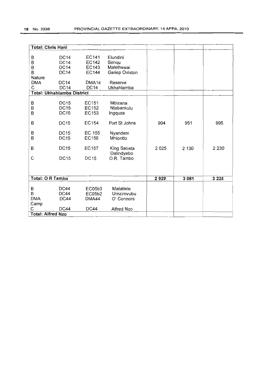| <b>Total: Chris Hani</b> |                                   |                   |                |      |         |         |
|--------------------------|-----------------------------------|-------------------|----------------|------|---------|---------|
|                          |                                   |                   |                |      |         |         |
| B                        | <b>DC14</b>                       | EC141             | Elundini       |      |         |         |
| B                        | <b>DC14</b>                       | EC142             | Senqu          |      |         |         |
| B                        | <b>DC14</b>                       | EC143             | Malethswai     |      |         |         |
| B                        | <b>DC14</b>                       | <b>EC144</b>      | Gariep Oviston |      |         |         |
| Nature                   |                                   |                   |                |      |         |         |
| <b>DMA</b>               | <b>DC14</b>                       | DMA <sub>14</sub> | Reserve        |      |         |         |
| C                        | <b>DC14</b>                       | <b>DC14</b>       | Ukhahlamba     |      |         |         |
|                          | <b>Total: Ukhahlamba District</b> |                   |                |      |         |         |
|                          |                                   |                   |                |      |         |         |
| В                        | <b>DC15</b>                       | EC151             | Mbizana        |      |         |         |
| B                        | <b>DC15</b>                       | EC152             | Ntabankulu     |      |         |         |
| B                        | <b>DC15</b>                       | EC153             | Ingquza        |      |         |         |
|                          |                                   |                   |                |      |         |         |
| B                        | <b>DC15</b>                       | EC154             | Port St Johns  | 904  | 951     | 995     |
|                          |                                   |                   |                |      |         |         |
| В                        | <b>DC15</b>                       | <b>EC 155</b>     | Nyandeni       |      |         |         |
| B                        | <b>DC15</b>                       | EC156             | Mhlontlo       |      |         |         |
| B                        | <b>DC15</b>                       | <b>EC157</b>      | King Sabata    | 2025 | 2 130   | 2 2 3 0 |
|                          |                                   |                   | Dalindyebo     |      |         |         |
| C                        | <b>DC15</b>                       | <b>DC15</b>       | O.R. Tambo     |      |         |         |
|                          |                                   |                   |                |      |         |         |
|                          |                                   |                   |                |      |         |         |
|                          |                                   |                   |                |      |         |         |
| <b>Total: O R Tambo</b>  |                                   |                   |                | 2929 | 3 0 8 1 | 3 2 2 5 |
|                          |                                   |                   |                |      |         |         |
| В                        | DC44                              | EC05b3            | Matatiele      |      |         |         |
| B                        | <b>DC44</b>                       | EC05b2            | Umzimvubu      |      |         |         |
| <b>DMA</b>               | <b>DC44</b>                       | DMA44             | O' Connors     |      |         |         |
| Camp                     |                                   |                   |                |      |         |         |
| С                        | <b>DC44</b>                       | <b>DC44</b>       | Alfred Nzo     |      |         |         |
| <b>Total: Alfred Nzo</b> |                                   |                   |                |      |         |         |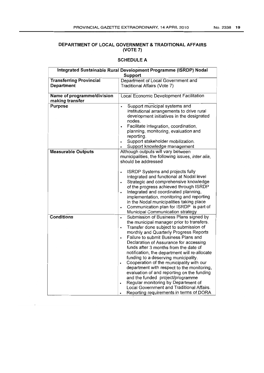#### **DEPARTMENT OF LOCAL GOVERNMENT & TRADITIONAL AFFAIRS (VOTE 7)**

| Integrated Sustainable Rural Development Programme (ISRDP) Nodal<br>Support |                                                                                       |  |  |  |  |
|-----------------------------------------------------------------------------|---------------------------------------------------------------------------------------|--|--|--|--|
| <b>Transferring Provincial</b>                                              | Department of Local Government and                                                    |  |  |  |  |
| Department                                                                  | Traditional Affairs (Vote 7)                                                          |  |  |  |  |
|                                                                             |                                                                                       |  |  |  |  |
| Name of programme/division                                                  | Local Economic Development Facilitation                                               |  |  |  |  |
| making transfer                                                             |                                                                                       |  |  |  |  |
| Purpose                                                                     | Support municipal systems and<br>$\bullet$                                            |  |  |  |  |
|                                                                             | institutional arrangements to drive rural                                             |  |  |  |  |
|                                                                             | development initiatives in the designated                                             |  |  |  |  |
|                                                                             | nodes.<br>Facilitate integration, coordination,                                       |  |  |  |  |
|                                                                             | $\bullet$<br>planning, monitoring, evaluation and                                     |  |  |  |  |
|                                                                             | reporting.                                                                            |  |  |  |  |
|                                                                             | Support stakeholder mobilization.                                                     |  |  |  |  |
|                                                                             | Support knowledge management                                                          |  |  |  |  |
| <b>Measurable Outputs</b>                                                   | Although outputs will vary between                                                    |  |  |  |  |
|                                                                             | municipalities, the following issues, inter alia,                                     |  |  |  |  |
|                                                                             | should be addressed                                                                   |  |  |  |  |
|                                                                             |                                                                                       |  |  |  |  |
|                                                                             | ISRDP Systems and projects fully<br>$\bullet$                                         |  |  |  |  |
|                                                                             | integrated and functional at Nodal level                                              |  |  |  |  |
|                                                                             | Strategic and comprehensive knowledge<br>$\bullet$                                    |  |  |  |  |
|                                                                             | of the progress achieved through ISRDP<br>Integrated and coordinated planning,        |  |  |  |  |
|                                                                             | $\bullet$<br>implementation, monitoring and reporting                                 |  |  |  |  |
|                                                                             | in the Nodal municipalities taking place                                              |  |  |  |  |
|                                                                             | Communication plan for ISRDP is part of<br>$\bullet$                                  |  |  |  |  |
|                                                                             | Municipal Communication strategy                                                      |  |  |  |  |
| <b>Conditions</b>                                                           | Submission of Business Plans signed by<br>$\bullet$                                   |  |  |  |  |
|                                                                             | the municipal manager prior to transfers.                                             |  |  |  |  |
|                                                                             | Transfer done subject to submission of<br>$\bullet$                                   |  |  |  |  |
|                                                                             | monthly and Quarterly Progress Reports                                                |  |  |  |  |
|                                                                             | Failure to submit Business Plans and<br>$\bullet$                                     |  |  |  |  |
|                                                                             | Declaration of Assurance for accessing                                                |  |  |  |  |
|                                                                             | funds after 3 months from the date of                                                 |  |  |  |  |
|                                                                             | notification, the department will re-allocate<br>funding to a deserving municipality. |  |  |  |  |
|                                                                             | Cooperation of the municipality with our                                              |  |  |  |  |
|                                                                             | $\bullet$<br>department with respect to the monitoring,                               |  |  |  |  |
|                                                                             | evaluation of and reporting on the funding                                            |  |  |  |  |
|                                                                             | and the funded project/programme                                                      |  |  |  |  |
|                                                                             | Regular monitoring by Department of<br>$\bullet$                                      |  |  |  |  |
|                                                                             | Local Government and Traditional Affairs.                                             |  |  |  |  |
|                                                                             | Reporting requirements in terms of DORA<br>٠                                          |  |  |  |  |
|                                                                             |                                                                                       |  |  |  |  |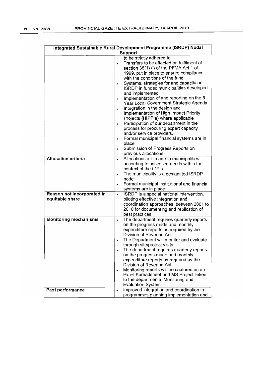| Integrated Sustainable Rural Development Programme (ISRDP) Nodal |                                                                                                                                                                                                                                                                                                                                                                                                                                                                                                                                                                                                                                                                                                                                                                                                            |  |  |  |  |
|------------------------------------------------------------------|------------------------------------------------------------------------------------------------------------------------------------------------------------------------------------------------------------------------------------------------------------------------------------------------------------------------------------------------------------------------------------------------------------------------------------------------------------------------------------------------------------------------------------------------------------------------------------------------------------------------------------------------------------------------------------------------------------------------------------------------------------------------------------------------------------|--|--|--|--|
| Support                                                          |                                                                                                                                                                                                                                                                                                                                                                                                                                                                                                                                                                                                                                                                                                                                                                                                            |  |  |  |  |
|                                                                  | to be strictly adhered to.<br>Transfers to be effected on fulfilment of<br>section 38(1) (j) of the PFMA Act 1 of<br>1999, put in place to ensure compliance<br>with the conditions of the fund.<br>Systems, strategies for and capacity on<br>$\bullet$<br>ISRDP in funded municipalities developed<br>and implemented<br>Implementation of and reporting on the 5<br>$\bullet$<br>Year Local Government Strategic Agenda<br>Integration in the design and<br>$\bullet$<br>Implementation of High Impact Priority<br>Projects (HIPP's) where applicable<br>Participation of our department in the<br>$\bullet$<br>process for procuring expert capacity<br>and/or service providers.<br>Formal municipal financial systems are in<br>$\bullet$<br>place<br>Submission of Progress Reports on<br>$\bullet$ |  |  |  |  |
| <b>Allocation criteria</b>                                       | previous allocations                                                                                                                                                                                                                                                                                                                                                                                                                                                                                                                                                                                                                                                                                                                                                                                       |  |  |  |  |
|                                                                  | Allocations are made to municipalities<br>$\bullet$<br>according to assessed needs within the<br>context of the IDP's<br>The municipality is a designated ISRDP<br>$\bullet$<br>node<br>Formal municipal institutional and financial<br>$\bullet$<br>systems are in place                                                                                                                                                                                                                                                                                                                                                                                                                                                                                                                                  |  |  |  |  |
| Reason not incorporated in<br>equitable share                    | ISRDP is a special national intervention,<br>$\bullet$<br>piloting effective integration and<br>coordination approaches between 2001 to<br>2010 for documenting and replication of<br>best practices                                                                                                                                                                                                                                                                                                                                                                                                                                                                                                                                                                                                       |  |  |  |  |
| <b>Monitoring mechanisms</b>                                     | The department requires quarterly reports<br>$\bullet$<br>on the progress made and monthly<br>expenditure reports as required by the<br>Division of Revenue Act.<br>The Department will monitor and evaluate<br>through site/project visits<br>The department requires quarterly reports<br>$\bullet$<br>on the progress made and monthly<br>expenditure reports as required by the<br>Division of Revenue Act.<br>Monitoring reports will be captured on an<br>Excel Spreadsheet and MS Project linked<br>to the departmental Monitoring and<br><b>Evaluation System</b>                                                                                                                                                                                                                                  |  |  |  |  |
| <b>Past performance</b>                                          | Improved integration and coordination in<br>$\bullet$<br>programmes planning implementation and                                                                                                                                                                                                                                                                                                                                                                                                                                                                                                                                                                                                                                                                                                            |  |  |  |  |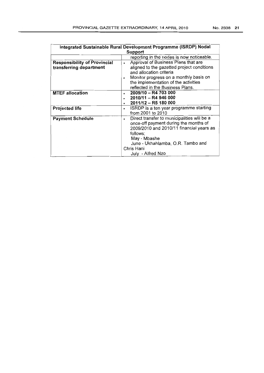| Integrated Sustainable Rural Development Programme (ISRDP) Nodal |                                                                                                                                                                                                                                                      |  |  |  |  |  |
|------------------------------------------------------------------|------------------------------------------------------------------------------------------------------------------------------------------------------------------------------------------------------------------------------------------------------|--|--|--|--|--|
|                                                                  | Support                                                                                                                                                                                                                                              |  |  |  |  |  |
|                                                                  | reporting in the nodes is now noticeable.                                                                                                                                                                                                            |  |  |  |  |  |
| <b>Responsibility of Provincial</b><br>transferring department   | Approval of Business Plans that are<br>$\bullet$<br>aligned to the gazetted project conditions<br>and allocation criteria<br>Monitor progress on a monthly basis on<br>٠<br>the implementation of the activities<br>reflected in the Business Plans. |  |  |  |  |  |
| <b>MTEF allocation</b>                                           | 2009/10 - R4 703 000<br>$\bullet$<br>2010/11 - R4 946 000<br>2011/12 - R5 180 000                                                                                                                                                                    |  |  |  |  |  |
| <b>Projected life</b>                                            | ISRDP is a ten year programme starting<br>$\bullet$<br>from 2001 to 2010                                                                                                                                                                             |  |  |  |  |  |
| <b>Payment Schedule</b>                                          | Direct transfer to municipalities will be a<br>$\bullet$<br>once-off payment during the months of<br>2009/2010 and 2010/11 financial years as<br>follows;<br>May - Mbashe<br>June - Ukhahlamba, O.R. Tambo and<br>Chris Hani<br>July - Alfred Nzo    |  |  |  |  |  |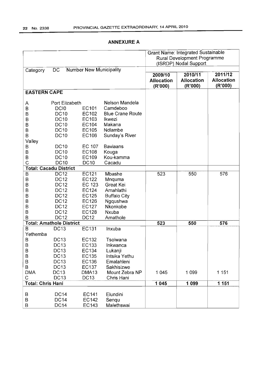|                          |                                 |                                |                                    |                       | <b>Grant Name: Integrated Sustainable</b> |                   |
|--------------------------|---------------------------------|--------------------------------|------------------------------------|-----------------------|-------------------------------------------|-------------------|
|                          |                                 |                                | <b>Rural Development Programme</b> |                       |                                           |                   |
|                          |                                 |                                |                                    | (ISRDP) Nodal Support |                                           |                   |
| Category                 | DC.                             | <b>Number New Municipality</b> |                                    |                       |                                           |                   |
|                          |                                 |                                |                                    | 2009/10               | 2010/11                                   | 2011/12           |
|                          |                                 |                                |                                    | <b>Allocation</b>     | <b>Allocation</b>                         | <b>Allocation</b> |
|                          |                                 |                                |                                    | (R'000)               | (R'000)                                   | (R'000)           |
| <b>EASTERN CAPE</b>      |                                 |                                |                                    |                       |                                           |                   |
|                          |                                 |                                |                                    |                       |                                           |                   |
| A                        | Port Elizabeth                  |                                | Nelson Mandela                     |                       |                                           |                   |
| В                        | DCI <sub>0</sub>                | <b>EC101</b>                   | Camdeboo                           |                       |                                           |                   |
| B                        | <b>DC10</b>                     | EC102                          | <b>Blue Crane Route</b>            |                       |                                           |                   |
| B                        | <b>DC10</b>                     | EC103                          | Ikwezi                             |                       |                                           |                   |
|                          | <b>DC10</b>                     | EC104                          | Makana                             |                       |                                           |                   |
| B                        |                                 |                                |                                    |                       |                                           |                   |
| B                        | <b>DC10</b>                     | EC105                          | Ndlambe                            |                       |                                           |                   |
| B                        | <b>DC10</b>                     | EC106                          | Sunday's River                     |                       |                                           |                   |
| Valley                   |                                 |                                |                                    |                       |                                           |                   |
| Β                        | <b>DC10</b>                     | EC 107                         | <b>Baviaans</b>                    |                       |                                           |                   |
| B                        | <b>DC10</b>                     | EC108                          | Kouga                              |                       |                                           |                   |
| B                        | <b>DC10</b>                     | EC109                          | Kou-kamma                          |                       |                                           |                   |
| Ċ                        | <b>DC10</b>                     | <b>DC10</b>                    | Cacadu                             |                       |                                           |                   |
|                          | <b>Total: Cacadu District</b>   |                                |                                    |                       |                                           |                   |
| B                        | <b>DC12</b>                     | EC121                          | Mbashe                             | 523                   | 550                                       | 576               |
| B                        | <b>DC12</b>                     | EC122                          | Mnguma                             |                       |                                           |                   |
| B                        | <b>DC12</b>                     | EC 123                         | Great Kei                          |                       |                                           |                   |
| B                        | <b>DC12</b>                     | <b>EC124</b>                   | Amahlathi                          |                       |                                           |                   |
| B                        | <b>DC12</b>                     | EC125                          | <b>Buffalo City</b>                |                       |                                           |                   |
| B                        | <b>DC12</b>                     | <b>EC126</b>                   | Ngqushwa                           |                       |                                           |                   |
| B                        | <b>DC12</b>                     | <b>EC127</b>                   | Nkonkobe                           |                       |                                           |                   |
| $\sf B$                  | <b>DC12</b>                     | <b>EC128</b>                   | Nxuba                              |                       |                                           |                   |
| B                        | <b>DC12</b>                     | <b>DC12</b>                    | Amathole                           |                       |                                           |                   |
|                          | <b>Total: Amathole District</b> |                                |                                    | 523                   | 550                                       | 576               |
| B                        | <b>DC13</b>                     | <b>EC131</b>                   | Inxuba                             |                       |                                           |                   |
| Yethemba                 |                                 |                                |                                    |                       |                                           |                   |
| B                        | <b>DC13</b>                     | EC132                          | Tsolwana                           |                       |                                           |                   |
| B                        | <b>DC13</b>                     | EC133                          | Inkwanca                           |                       |                                           |                   |
| в                        | DC <sub>13</sub>                | EC134                          | Lukanji                            |                       |                                           |                   |
| B                        | DC13                            | EC135                          | Intsika Yethu                      |                       |                                           |                   |
| $\sf B$                  | <b>DC13</b>                     | <b>EC136</b>                   | Emalahleni                         |                       |                                           |                   |
| B                        | <b>DC13</b>                     | EC137                          | Sakhisizwe                         |                       |                                           |                   |
| <b>DMA</b>               | <b>DC13</b>                     | DMA <sub>13</sub>              | Mount Zebra NP                     | 1 0 4 5               | 1 0 9 9                                   | 1 1 5 1           |
| C                        | <b>DC13</b>                     | <b>DC13</b>                    | Chris Hani                         |                       |                                           |                   |
| <b>Total: Chris Hani</b> |                                 |                                |                                    | 1045                  | 1 0 9 9                                   | 1 1 5 1           |
|                          |                                 |                                |                                    |                       |                                           |                   |
| B                        | <b>DC14</b>                     | EC141                          | Elundini                           |                       |                                           |                   |
| B                        | <b>DC14</b>                     | <b>EC142</b>                   | Senqu                              |                       |                                           |                   |
| B                        | <b>DC14</b>                     | EC143                          | Malethswai                         |                       |                                           |                   |
|                          |                                 |                                |                                    |                       |                                           |                   |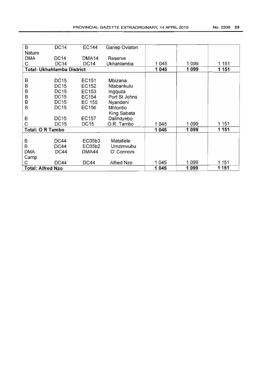| No. 2338 |  | 23 |
|----------|--|----|
|----------|--|----|

| $\overline{B}$             | <b>DC14</b> | EC144             | Gariep Oviston |         |         |       |
|----------------------------|-------------|-------------------|----------------|---------|---------|-------|
| Nature                     |             |                   |                |         |         |       |
| <b>DMA</b>                 | <b>DC14</b> | DMA <sub>14</sub> | Reserve        |         |         |       |
| С                          | <b>DC14</b> | <b>DC14</b>       | Ukhahlamba     | 1045    | 1 0 9 9 | 1 151 |
| Total: Ukhahlamba District |             |                   | 1045           | 1 0 9 9 | 1 1 5 1 |       |
|                            |             |                   |                |         |         |       |
| В                          | <b>DC15</b> | EC151             | Mbizana        |         |         |       |
| B                          | <b>DC15</b> | EC152             | Ntabankulu     |         |         |       |
| B                          | <b>DC15</b> | EC153             | Ingquza        |         |         |       |
| B                          | <b>DC15</b> | EC154             | Port St Johns  |         |         |       |
| B                          | <b>DC15</b> | EC 155            | Nyandeni       |         |         |       |
| B                          | <b>DC15</b> | EC156             | Mhlontlo       |         |         |       |
|                            |             |                   | King Sabata    |         |         |       |
| B                          | <b>DC15</b> | EC157             | Dalindyebo     |         |         |       |
| С                          | <b>DC15</b> | DC15              | O.R. Tambo     | 1045    | 1 099   | 1 151 |
| <b>Total: O R Tambo</b>    |             |                   |                | 1 0 4 5 | 1099    | 1 151 |
|                            |             |                   |                |         |         |       |
| B                          | <b>DC44</b> | EC05b3            | Matatiele      |         |         |       |
| B                          | <b>DC44</b> | EC05b2            | Umzimvubu      |         |         |       |
| <b>DMA</b>                 | <b>DC44</b> | DMA44             | O' Connors     |         |         |       |
| Camp                       |             |                   |                |         |         |       |
| С                          | <b>DC44</b> | DC44              | Alfred Nzo     | 1045    | 1099    | 1 151 |
| <b>Total: Alfred Nzo</b>   |             |                   |                | 1 0 4 5 | 1099    | 1 151 |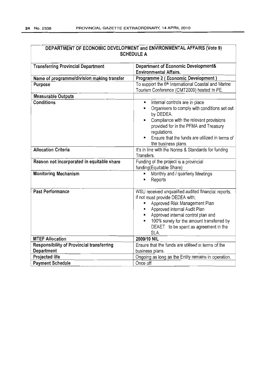| DEPARTIMENT OF ECONOMIC DEVELOPMENT and ENVIRONMENTAL AFFAIRS (VOIG 3)<br><b>SCHEDULE A</b> |                                                                                                                                                                                                                                                                                                                         |  |  |  |
|---------------------------------------------------------------------------------------------|-------------------------------------------------------------------------------------------------------------------------------------------------------------------------------------------------------------------------------------------------------------------------------------------------------------------------|--|--|--|
| <b>Transferring Provincial Department</b>                                                   | Department of Economic Development&<br><b>Environmental Affairs.</b>                                                                                                                                                                                                                                                    |  |  |  |
| Name of programme/division making transfer                                                  | Programme 2 (Economic Development)                                                                                                                                                                                                                                                                                      |  |  |  |
| Purpose                                                                                     | To support the 6 <sup>th</sup> International Coastal and Marine<br>Tourism Conference (CMT2009) hosted In PE.                                                                                                                                                                                                           |  |  |  |
| <b>Measurable Outputs</b>                                                                   |                                                                                                                                                                                                                                                                                                                         |  |  |  |
| <b>Conditions</b>                                                                           | Internal controls are in place<br>$\blacksquare$<br>Organisers to comply with conditions set out<br>Ø.<br>by DEDEA.<br>Compliance with the relevant provisions<br>$\blacksquare$<br>provided for in the PFMA and Treasury<br>regulations.<br>Ensure that the funds are utilized in terms of<br>۰<br>the business plans. |  |  |  |
| <b>Allocation Criteria</b>                                                                  | It's in line with the Norms & Standards for funding<br>Transfers.                                                                                                                                                                                                                                                       |  |  |  |
| Reason not incorporated in equitable share                                                  | Funding of the project is a provincial<br>funding(Equitable Share)                                                                                                                                                                                                                                                      |  |  |  |
| <b>Monitoring Mechanism</b>                                                                 | Monthly and / quarterly Meetings<br>Reports<br>Ħ                                                                                                                                                                                                                                                                        |  |  |  |
| <b>Past Performance</b>                                                                     | WSU received unqualified audited financial reports,<br>if not must provide DEDEA with;<br>Approved Risk Management Plan<br>Approved internal Audit Plan<br>$\blacksquare$<br>Approved internal control plan and<br>100% surety for the amount transferred by<br>n,<br>DEAET to be spent as agreement in the<br>SLA.     |  |  |  |
| <b>MTEF Allocation</b>                                                                      | 2009/10 NIL                                                                                                                                                                                                                                                                                                             |  |  |  |
| <b>Responsibility of Provincial transferring</b><br>Department                              | Ensure that the funds are utilised in terms of the<br>business plans.                                                                                                                                                                                                                                                   |  |  |  |
| Projected life                                                                              | Ongoing as long as the Entity remains in operation.                                                                                                                                                                                                                                                                     |  |  |  |
| <b>Payment Schedule</b>                                                                     | Once off                                                                                                                                                                                                                                                                                                                |  |  |  |

# DEPARTMENT OF ECONOMIC DEVELOPMENT and ENVIRONMENTAL AFFAIRS (Vote 9)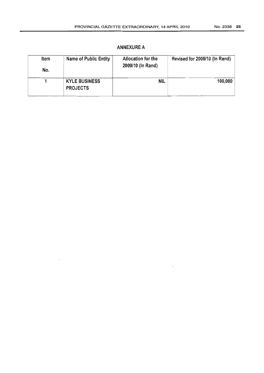| Item<br>No. | Name of Public Entity                   | Allocation for the<br>2009/10 (In Rand) | Revised for 2009/10 (In Rand) |
|-------------|-----------------------------------------|-----------------------------------------|-------------------------------|
|             | <b>KYLE BUSINESS</b><br><b>PROJECTS</b> | NIL                                     | 100,000                       |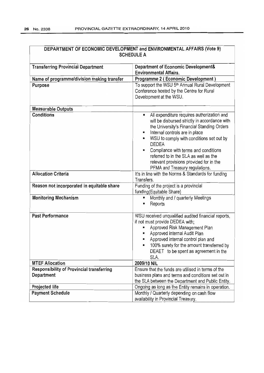| DEPARTMENT OF ECONOMIC DEVELOPMENT and ENVIRONMENTAL AFFAIRS (Vote 9) |                                                                                                                                                                                                                                                                                                                                                                                                                      |  |
|-----------------------------------------------------------------------|----------------------------------------------------------------------------------------------------------------------------------------------------------------------------------------------------------------------------------------------------------------------------------------------------------------------------------------------------------------------------------------------------------------------|--|
|                                                                       | <b>SCHEDULE A</b>                                                                                                                                                                                                                                                                                                                                                                                                    |  |
| <b>Transferring Provincial Department</b>                             | Department of Economic Development&<br><b>Environmental Affairs.</b>                                                                                                                                                                                                                                                                                                                                                 |  |
| Name of programme/division making transfer                            | Programme 2 (Economic Development)                                                                                                                                                                                                                                                                                                                                                                                   |  |
| <b>Purpose</b>                                                        | To support the WSU 5 <sup>th</sup> Annual Rural Development<br>Conference hosted by the Centre for Rural<br>Development at the WSU.                                                                                                                                                                                                                                                                                  |  |
| <b>Measurable Outputs</b>                                             |                                                                                                                                                                                                                                                                                                                                                                                                                      |  |
| <b>Conditions</b>                                                     | All expenditure requires authorization and<br>п<br>will be disbursed strictly in accordance with<br>the University's Financial Standing Orders<br>Internal controls are in place<br>п<br>WSU to comply with conditions set out by<br><b>DEDEA</b><br>Compliance with terms and conditions<br>E<br>referred to in the SLA as well as the<br>relevant provisions provided for in the<br>PFMA and Treasury regulations. |  |
| <b>Allocation Criteria</b>                                            | It's in line with the Norms & Standards for funding<br>Transfers.                                                                                                                                                                                                                                                                                                                                                    |  |
| Reason not incorporated in equitable share                            | Funding of the project is a provincial<br>funding(Equitable Share)                                                                                                                                                                                                                                                                                                                                                   |  |
| <b>Monitoring Mechanism</b>                                           | Monthly and / quarterly Meetings<br>п<br>Reports<br>п                                                                                                                                                                                                                                                                                                                                                                |  |
| <b>Past Performance</b>                                               | WSU received unqualified audited financial reports,<br>if not must provide DEDEA with;<br>Approved Risk Management Plan<br>Approved internal Audit Plan<br>Approved internal control plan and<br>100% surety for the amount transferred by<br>DEAET to be spent as agreement in the<br>SLA.                                                                                                                          |  |
| <b>MTEF Allocation</b>                                                | 2009/10 NIL                                                                                                                                                                                                                                                                                                                                                                                                          |  |
| <b>Responsibility of Provincial transferring</b><br>Department        | Ensure that the funds are utilised in terms of the<br>business plans and terms and conditions set out in<br>the SLA between the Department and Public Entity.                                                                                                                                                                                                                                                        |  |
| Projected life                                                        | Ongoing as long as the Entity remains in operation.                                                                                                                                                                                                                                                                                                                                                                  |  |
| <b>Payment Schedule</b>                                               | Monthly / Quarterly depending on cash flow<br>availability in Provincial Treasury.                                                                                                                                                                                                                                                                                                                                   |  |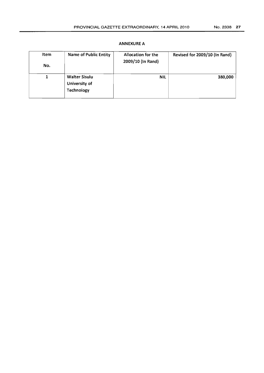| Item<br>No. | <b>Name of Public Entity</b>                        | Allocation for the<br>2009/10 (In Rand) | Revised for 2009/10 (In Rand) |
|-------------|-----------------------------------------------------|-----------------------------------------|-------------------------------|
| 1           | <b>Walter Sisulu</b><br>University of<br>Technology | <b>NIL</b>                              | 380,000                       |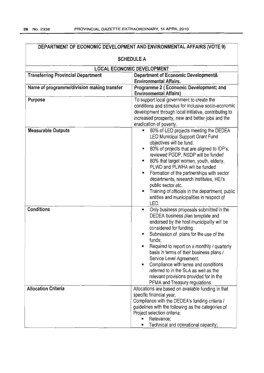| DEPARTMENT OF ECONOMIC DEVELOPMENT AND ENVIRONMENTAL AFFAIRS (VOTE 9)                                             |                                                                                                                                                                                                                                                                                                                                                                                                                                                                                                                   |  |  |
|-------------------------------------------------------------------------------------------------------------------|-------------------------------------------------------------------------------------------------------------------------------------------------------------------------------------------------------------------------------------------------------------------------------------------------------------------------------------------------------------------------------------------------------------------------------------------------------------------------------------------------------------------|--|--|
| <b>SCHEDULE A</b>                                                                                                 |                                                                                                                                                                                                                                                                                                                                                                                                                                                                                                                   |  |  |
|                                                                                                                   | <b>LOCAL ECONOMIC DEVELOPMENT</b>                                                                                                                                                                                                                                                                                                                                                                                                                                                                                 |  |  |
| Department of Economic Development&<br><b>Transferring Provincial Department</b><br><b>Environmental Affairs.</b> |                                                                                                                                                                                                                                                                                                                                                                                                                                                                                                                   |  |  |
| Name of programme/division making transfer                                                                        | Programme 2 (Economic Development; and<br><b>Environmental Affairs)</b>                                                                                                                                                                                                                                                                                                                                                                                                                                           |  |  |
| Purpose                                                                                                           | To support local government to create the<br>conditions and stimulus for inclusive socio-economic<br>development through local initiative, contributing to<br>increased prosperity, new and better jobs and the<br>eradication of poverty.                                                                                                                                                                                                                                                                        |  |  |
| <b>Measurable Outputs</b>                                                                                         | 80% of LED projects meeting the DEDEA<br>$\blacksquare$<br>LED Municipal Support Grant Fund<br>objectives will be fund.<br>80% of projects that are aligned to IDP's,<br>reviewed PGDP, NSDP will be funded<br>80% that target women, youth, elderly,<br>٠<br>PLWD and PLWHA will be funded<br>Formation of the partnerships with sector<br>departments, research institutes, HEI's<br>public sector etc.<br>Training of officials in the department, public<br>entities and municipalities in respect of<br>LED. |  |  |
| <b>Conditions</b>                                                                                                 | Only business proposals submitted in the<br>DEDEA business plan template and<br>endorsed by the host municipality will be<br>considered for funding.<br>Submission of plans for the use of the<br>funds;<br>Required to report on a monthly / quarterly<br>basis in terms of their business plans /<br>Service Level Agreement.<br>Compliance with terms and conditions<br>٠<br>referred to in the SLA as well as the<br>relevant provisions provided for in the<br>PFMA and Treasury regulations.                |  |  |
| <b>Allocation Criteria</b>                                                                                        | Allocations are based on available funding in that<br>specific financial year.<br>Compliance with the DEDEA's funding criteria /<br>guidelines with the following as the categories of<br>Project selection criteria:<br>Relevance;<br>Technical and operational capacity;                                                                                                                                                                                                                                        |  |  |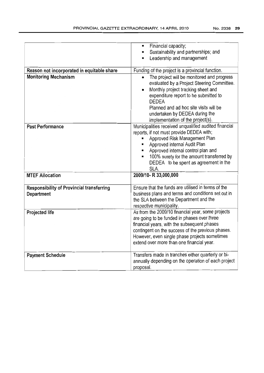|                                                                | Financial capacity;                                   |
|----------------------------------------------------------------|-------------------------------------------------------|
|                                                                | Sustainability and partnerships; and                  |
|                                                                | Leadership and management                             |
| Reason not incorporated in equitable share                     |                                                       |
|                                                                | Funding of the project is a provincial function.      |
| <b>Monitoring Mechanism</b>                                    | The project will be monitored and progress            |
|                                                                | evaluated by a Project Steering Committee.            |
|                                                                | Monthly project tracking sheet and                    |
|                                                                | expenditure report to be submitted to<br><b>DEDEA</b> |
|                                                                | Planned and ad hoc site visits will be                |
|                                                                | undertaken by DEDEA during the                        |
|                                                                | implementation of the project(s).                     |
| <b>Past Performance</b>                                        | Municipalities received unqualified audited financial |
|                                                                | reports, if not must provide DEDEA with;              |
|                                                                | Approved Risk Management Plan                         |
|                                                                | Approved internal Audit Plan                          |
|                                                                | Approved internal control plan and                    |
|                                                                | 100% surety for the amount transferred by             |
|                                                                | DEDEA to be spent as agreement in the                 |
|                                                                | SLA.                                                  |
| <b>MTEF Allocation</b>                                         | 2009/10- R 33,000,000                                 |
|                                                                | Ensure that the funds are utilised in terms of the    |
| <b>Responsibility of Provincial transferring</b><br>Department | business plans and terms and conditions set out in    |
|                                                                | the SLA between the Department and the                |
|                                                                | respective municipality.                              |
| <b>Projected life</b>                                          | As from the 2009/10 financial year, some projects     |
|                                                                | are going to be funded in phases over three           |
|                                                                | financial years, with the subsequent phases           |
|                                                                | contingent on the success of the previous phases.     |
|                                                                | However, even single phase projects sometimes         |
|                                                                | extend over more than one financial year.             |
| <b>Payment Schedule</b>                                        | Transfers made in tranches either quarterly or bi-    |
|                                                                | annually depending on the operation of each project   |
|                                                                | proposal.                                             |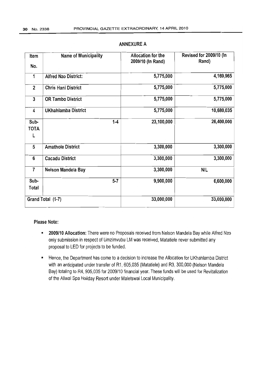| Item                     | Name of Municipality        | Allocation for the<br>2009/10 (In Rand) | Revised for 2009/10 (In<br>Rand) |
|--------------------------|-----------------------------|-----------------------------------------|----------------------------------|
| No.                      |                             |                                         |                                  |
| 1                        | <b>Alfred Nzo District:</b> | 5,775,000                               | 4,169,965                        |
| $\overline{2}$           | <b>Chris Hani District</b>  | 5,775,000                               | 5,775,000                        |
| 3                        | <b>OR Tambo District</b>    | 5,775,000                               | 5,775,000                        |
| 4                        | UKhahlamba District         | 5,775,000                               | 10,680,035                       |
| Sub-<br><b>TOTA</b><br>L | $1 - 4$                     | 23,100,000                              | 26,400,000                       |
| 5                        | <b>Amathole District</b>    | 3,300,000                               | 3,300,000                        |
| 6                        | <b>Cacadu District</b>      | 3,300,000                               | 3,300,000                        |
| $\overline{7}$           | Nelson Mandela Bay          | 3,300,000                               | <b>NIL</b>                       |
| Sub-<br>Total            | $5 - 7$                     | 9,900,000                               | 6,600,000                        |
|                          | Grand Total (1-7)           | 33,000,000                              | 33,000,000                       |

#### Please Note:

- *• 2009/10* Allocation: There were no Proposals received from Nelson Mandela Bay while Alfred Nzo only submission in respect of Umzimvubu LM was received, Matatiele never submitted any proposal to LED for projects to be funded.
- Hence, the Department has come to a decision to increase the Allocation for UKhahlarnba District with an anticipated under transfer of R1, 605,035 (Matatiele) and R3, 300,000 (Nelson Mandela Bay) totaling to R4, 905,035 for 2009/10 financial year. These funds will be used for Revitalization of the Aliwal Spa Holiday Resort under Maletswai Local Municipality.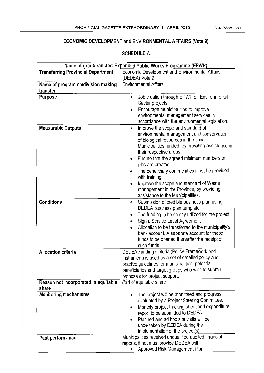# ECONOMIC DEVELOPMENT and ENVIRONMENTAL AFFAIRS (Vote 9)

| Name of grant/transfer: Expanded Public Works Programme (EPWP) |                                                                                                  |  |
|----------------------------------------------------------------|--------------------------------------------------------------------------------------------------|--|
| <b>Transferring Provincial Department</b>                      | Economic Development and Environmental Affairs                                                   |  |
|                                                                | (DEDEA) Vote 9                                                                                   |  |
| Name of programme/division making                              | <b>Environmental Affairs</b>                                                                     |  |
| transfer                                                       |                                                                                                  |  |
| Purpose                                                        | Job creation through EPWP on Environmental<br>$\bullet$<br>Sector projects.                      |  |
|                                                                | Encourage municipalities to improve                                                              |  |
|                                                                | environmental management services in                                                             |  |
|                                                                | accordance with the environmental legislation.                                                   |  |
| <b>Measurable Outputs</b>                                      | Improve the scope and standard of<br>$\bullet$                                                   |  |
|                                                                | environmental management and conservation                                                        |  |
|                                                                | of biological resources in the Local                                                             |  |
|                                                                | Municipalities funded, by providing assistance in                                                |  |
|                                                                | their respective areas.<br>Ensure that the agreed minimum numbers of                             |  |
|                                                                | ٠<br>jobs are created.                                                                           |  |
|                                                                | The beneficiary communities must be provided<br>$\bullet$                                        |  |
|                                                                | with training.                                                                                   |  |
|                                                                | Improve the scope and standard of Waste                                                          |  |
|                                                                | management in the Province, by providing                                                         |  |
|                                                                | assistance to the Municipalities.                                                                |  |
| <b>Conditions</b>                                              | Submission of credible business plan using                                                       |  |
|                                                                | DEDEA business plan template                                                                     |  |
|                                                                | The funding to be strictly utilized for the project<br>۰                                         |  |
|                                                                | Sign a Service Level Agreement                                                                   |  |
|                                                                | Allocation to be transferred to the municipality's<br>bank account. A separate account for those |  |
|                                                                | funds to be opened thereafter the receipt of                                                     |  |
|                                                                | such funds.                                                                                      |  |
| <b>Allocation criteria</b>                                     | DEDEA Funding Criteria (Policy Framework and                                                     |  |
|                                                                | Instrument) is used as a set of detailed policy and                                              |  |
|                                                                | practice guidelines for municipalities, potential                                                |  |
|                                                                | beneficiaries and target groups who wish to submit                                               |  |
|                                                                | proposals for project support.                                                                   |  |
| Reason not incorporated in equitable<br>share                  | Part of equitable share                                                                          |  |
| <b>Monitoring mechanisms</b>                                   | The project will be monitored and progress                                                       |  |
|                                                                | evaluated by a Project Steering Committee.                                                       |  |
|                                                                | Monthly project tracking sheet and expenditure                                                   |  |
|                                                                | report to be submitted to DEDEA<br>Planned and ad hoc site visits will be                        |  |
|                                                                | undertaken by DEDEA during the                                                                   |  |
|                                                                | implementation of the project(s).                                                                |  |
| Past performance                                               | Municipalities received unqualified audited financial                                            |  |
|                                                                | reports, if not must provide DEDEA with;                                                         |  |
|                                                                | Approved Risk Management Plan                                                                    |  |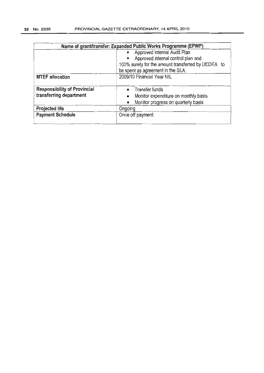| Name of grant/transfer: Expanded Public Works Programme (EPWP) |                                                                                                                                                                                 |  |  |
|----------------------------------------------------------------|---------------------------------------------------------------------------------------------------------------------------------------------------------------------------------|--|--|
|                                                                | Approved internal Audit Plan<br>Approved internal control plan and<br>$\blacksquare$<br>100% surety for the amount transferred by DEDEA to<br>be spent as agreement in the SLA. |  |  |
| <b>MTEF allocation</b>                                         | 2009/10 Financial Year NIL                                                                                                                                                      |  |  |
| <b>Responsibility of Provincial</b><br>transferring department | • Transfer funds<br>Monitor expenditure on monthly basis<br>$\bullet$<br>Monitor progress on quarterly basis<br>$\bullet$                                                       |  |  |
| Projected life                                                 | Ongoing                                                                                                                                                                         |  |  |
| <b>Payment Schedule</b>                                        | Once off payment                                                                                                                                                                |  |  |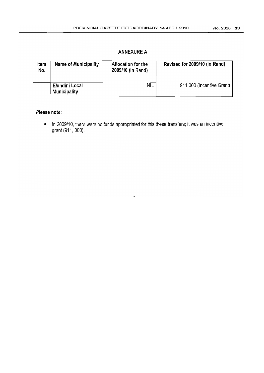| Item<br>No. | Name of Municipality                  | Allocation for the<br>2009/10 (In Rand) | Revised for 2009/10 (In Rand) |
|-------------|---------------------------------------|-----------------------------------------|-------------------------------|
|             | Elundini Local<br><b>Municipality</b> | NIL                                     | 911 000 (Incentive Grant)     |

#### **Please note:**

• In 2009/10, there were no funds appropriated for this these transfers; it was an incentive grant (911, 000).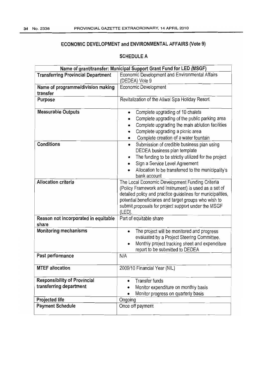# ECONOMIC DEVELOPMENT and ENVIRONMENTAL AFFAIRS (Vote 9)

| Name of grant/transfer: Municipal Support Grant Fund for LED (MSGF) |                                                                                                                      |  |
|---------------------------------------------------------------------|----------------------------------------------------------------------------------------------------------------------|--|
| <b>Transferring Provincial Department</b>                           | Economic Development and Environmental Affairs                                                                       |  |
|                                                                     | (DEDEA) Vote 9                                                                                                       |  |
| Name of programme/division making                                   | Economic Development                                                                                                 |  |
| transfer                                                            |                                                                                                                      |  |
| Purpose                                                             | Revitalization of the Aliwal Spa Holiday Resort                                                                      |  |
|                                                                     |                                                                                                                      |  |
| <b>Measurable Outputs</b>                                           | Complete upgrading of 10 chalets                                                                                     |  |
|                                                                     | Complete upgrading of the public parking area                                                                        |  |
|                                                                     | Complete upgrading the main ablution facilities                                                                      |  |
|                                                                     | Complete upgrading a picnic area                                                                                     |  |
|                                                                     | Complete creation of a water fountain                                                                                |  |
| <b>Conditions</b>                                                   | Submission of credible business plan using<br>٠                                                                      |  |
|                                                                     | DEDEA business plan template                                                                                         |  |
|                                                                     | The funding to be strictly utilized for the project<br>٠                                                             |  |
|                                                                     | Sign a Service Level Agreement<br>٠                                                                                  |  |
|                                                                     | Allocation to be transferred to the municipality's                                                                   |  |
|                                                                     |                                                                                                                      |  |
| <b>Allocation criteria</b>                                          | bank account                                                                                                         |  |
|                                                                     | The Local Economic Development Funding Criteria                                                                      |  |
|                                                                     | (Policy Framework and Instrument) is used as a set of                                                                |  |
|                                                                     | detailed policy and practice guidelines for municipalities,<br>potential beneficiaries and target groups who wish to |  |
|                                                                     | submit proposals for project support under the MSGF                                                                  |  |
|                                                                     | (LED).                                                                                                               |  |
| Reason not incorporated in equitable                                | Part of equitable share                                                                                              |  |
| share                                                               |                                                                                                                      |  |
| <b>Monitoring mechanisms</b>                                        | The project will be monitored and progress                                                                           |  |
|                                                                     | evaluated by a Project Steering Committee.                                                                           |  |
|                                                                     | Monthly project tracking sheet and expenditure                                                                       |  |
|                                                                     | report to be submitted to DEDEA                                                                                      |  |
| Past performance                                                    | N/A                                                                                                                  |  |
|                                                                     |                                                                                                                      |  |
| <b>MTEF allocation</b>                                              | 2009/10 Financial Year (NIL)                                                                                         |  |
|                                                                     |                                                                                                                      |  |
| <b>Responsibility of Provincial</b>                                 | <b>Transfer funds</b><br>٠                                                                                           |  |
| transferring department                                             | Monitor expenditure on monthly basis                                                                                 |  |
|                                                                     | Monitor progress on quarterly basis                                                                                  |  |
| Projected life                                                      | Ongoing                                                                                                              |  |
| <b>Payment Schedule</b>                                             | Once off payment                                                                                                     |  |
|                                                                     |                                                                                                                      |  |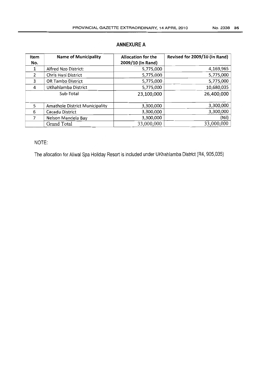| Item           | <b>Name of Municipality</b>           | <b>Allocation for the</b> | Revised for 2009/10 (In Rand) |
|----------------|---------------------------------------|---------------------------|-------------------------------|
| No.            |                                       | 2009/10 (In Rand)         |                               |
| 1              | Alfred Nzo District:                  | 5,775,000                 | 4,169,965                     |
| $\overline{2}$ | Chris Hani District                   | 5,775,000                 | 5,775,000                     |
| 3              | <b>OR Tambo District</b>              | 5,775,000                 | 5,775,000                     |
| 4              | UKhahlamba District                   | 5,775,000                 | 10,680,035                    |
|                | Sub-Total                             | 23,100,000                | 26,400,000                    |
| 5              | <b>Amathole District Municipality</b> | 3,300,000                 | 3,300,000                     |
| 6              | Cacadu District                       | 3,300,000                 | 3,300,000                     |
| 7              | Nelson Mandela Bay                    | 3,300,000                 | (Nil)                         |
|                | Grand Total                           | 33,000,000                | 33,000,000                    |

## NOTE:

The allocation for Aliwal Spa Holiday Resort is included under UKhahlamba District (R4, 905,035)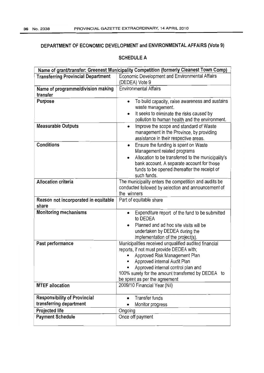#### DEPARTMENT OF ECONOMIC DEVELOPMENT and ENVIRONMENTAL AFFAIRS (Vote 9)

| Name of grant/transfer: Greenest Municipality Competition (formerly Cleanest Town Comp) |                                                                                                                                                                                                                                                                                                 |  |
|-----------------------------------------------------------------------------------------|-------------------------------------------------------------------------------------------------------------------------------------------------------------------------------------------------------------------------------------------------------------------------------------------------|--|
| <b>Transferring Provincial Department</b>                                               | Economic Development and Environmental Affairs<br>(DEDEA) Vote 9                                                                                                                                                                                                                                |  |
| Name of programme/division making<br>transfer                                           | <b>Environmental Affairs</b>                                                                                                                                                                                                                                                                    |  |
| Purpose                                                                                 | To build capacity, raise awareness and sustains<br>waste management.<br>It seeks to eliminate the risks caused by<br>pollution to human health and the environment.                                                                                                                             |  |
| <b>Measurable Outputs</b>                                                               | Improve the scope and standard of Waste<br>٠<br>management in the Province, by providing<br>assistance in their respective areas.                                                                                                                                                               |  |
| <b>Conditions</b>                                                                       | Ensure the funding is spent on Waste<br>٠<br>Management related programs<br>Allocation to be transferred to the municipality's<br>bank account. A separate account for those<br>funds to be opened thereafter the receipt of<br>such funds.                                                     |  |
| <b>Allocation criteria</b>                                                              | The municipality enters the competition and audits be<br>conducted followed by selection and announcement of<br>the winners                                                                                                                                                                     |  |
| Reason not incorporated in equitable<br>share                                           | Part of equitable share                                                                                                                                                                                                                                                                         |  |
| <b>Monitoring mechanisms</b>                                                            | Expenditure report of the fund to be submitted<br>to DEDEA<br>Planned and ad hoc site visits will be<br>$\bullet$<br>undertaken by DEDEA during the<br>implementation of the project(s).                                                                                                        |  |
| Past performance                                                                        | Municipalities received unqualified audited financial<br>reports, if not must provide DEDEA with;<br>Approved Risk Management Plan<br>Approved internal Audit Plan<br>Approved internal control plan and<br>100% surety for the amount transferred by DEDEA to<br>be spent as per the agreement |  |
| <b>MTEF allocation</b>                                                                  | 2009/10 Financial Year (Nil)                                                                                                                                                                                                                                                                    |  |
| <b>Responsibility of Provincial</b><br>transferring department                          | Transfer funds<br>$\bullet$<br>Monitor progress                                                                                                                                                                                                                                                 |  |
| Projected life                                                                          | Ongoing                                                                                                                                                                                                                                                                                         |  |
| <b>Payment Schedule</b>                                                                 | Once off payment                                                                                                                                                                                                                                                                                |  |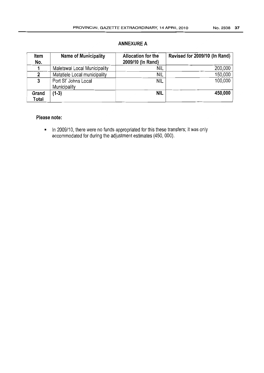| Item<br>No. | <b>Name of Municipality</b>  | <b>Allocation for the</b><br>2009/10 (In Rand) | Revised for 2009/10 (In Rand) |
|-------------|------------------------------|------------------------------------------------|-------------------------------|
|             |                              |                                                |                               |
|             | Maletswai Local Municipality | NIL                                            | 200,000                       |
| 2           | Matatiele Local municipality | NIL                                            | 150,000                       |
| 3           | Port St' Johns Local         | <b>NIL</b>                                     | 100,000                       |
|             | Municipality                 |                                                |                               |
| Grand       | $(1-3)$                      | <b>NIL</b>                                     | 450,000                       |
| Total       |                              |                                                |                               |

#### **Please note:**

• In 2009/10, there were no funds appropriated for this these transfers; it was only accommodated for during the adjustment estimates (450, 000).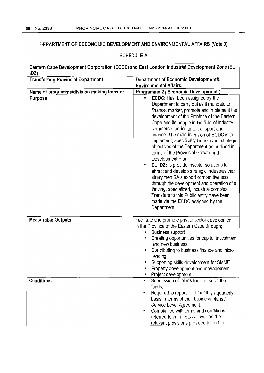## **DEPARTMENT OF ECEONOMIC DEVELOPMENT AND ENVIRONMENTAL AFFAIRS (Vote 9)**

| <b>Transferring Provincial Department</b>      | <b>Department of Economic Development&amp;</b><br><b>Environmental Affairs.</b>                                                                                                                                                                                                                                                                                                                                                                                                                                                                                                                                                                                                                                                                                                                                               |
|------------------------------------------------|-------------------------------------------------------------------------------------------------------------------------------------------------------------------------------------------------------------------------------------------------------------------------------------------------------------------------------------------------------------------------------------------------------------------------------------------------------------------------------------------------------------------------------------------------------------------------------------------------------------------------------------------------------------------------------------------------------------------------------------------------------------------------------------------------------------------------------|
| Name of programme/division making transfer     | <b>Programme 2 (Economic Development)</b>                                                                                                                                                                                                                                                                                                                                                                                                                                                                                                                                                                                                                                                                                                                                                                                     |
| Purpose                                        | <b>ECDC:</b> Has been assigned by the<br>П<br>Department to carry out as it mandate to<br>finance, market, promote and implement the<br>development of the Province of the Eastern<br>Cape and its people in the field of industry,<br>commerce, agriculture, transport and<br>finance. The main intension of ECDC is to<br>implement, specifically the relevant strategic<br>objectives of the Department as outlined in<br>terms of the Provincial Growth and<br>Development Plan.<br>EL IDZ: to provide investor solutions to<br>п<br>attract and develop strategic industries that<br>strengthen SA's export competitiveness<br>through the development and operation of a<br>thriving, specialized, industrial complex.<br>Transfers to this Public entity have been<br>made via the ECDC assigned by the<br>Department. |
| <b>Measurable Outputs</b><br><b>Conditions</b> | Facilitate and promote private sector development<br>in the Province of the Eastern Cape through;<br><b>Business support</b><br>Creating opportunities for capital investment<br>and new business<br>Contributing to business finance and micro<br>lending<br>Supporting skills development for SMME<br>Property development and management<br>Project development<br>Submission of plans for the use of the<br>$\blacksquare$                                                                                                                                                                                                                                                                                                                                                                                                |
|                                                | funds;<br>Required to report on a monthly / quarterly<br>$\blacksquare$<br>basis in terms of their business plans /<br>Service Level Agreement.<br>Compliance with terms and conditions<br>٠<br>referred to in the SLA as well as the<br>relevant provisions provided for in the                                                                                                                                                                                                                                                                                                                                                                                                                                                                                                                                              |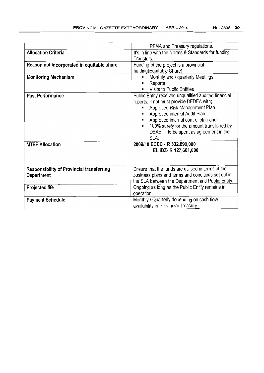|                                                  | PFMA and Treasury regulations.                       |  |
|--------------------------------------------------|------------------------------------------------------|--|
| <b>Allocation Criteria</b>                       | It's in line with the Norms & Standards for funding  |  |
|                                                  | Transfers.                                           |  |
| Reason not incorporated in equitable share       | Funding of the project is a provincial               |  |
|                                                  | funding (Equitable Share)                            |  |
| <b>Monitoring Mechanism</b>                      | Monthly and / quarterly Meetings                     |  |
|                                                  | Reports<br>п                                         |  |
|                                                  | Visits to Public Entities<br>٠                       |  |
| <b>Past Performance</b>                          | Public Entity received unqualified audited financial |  |
|                                                  | reports, if not must provide DEDEA with;             |  |
|                                                  | Approved Risk Management Plan                        |  |
|                                                  | Approved internal Audit Plan<br>٠                    |  |
|                                                  | Approved internal control plan and<br>$\blacksquare$ |  |
|                                                  | 100% surety for the amount transferred by            |  |
|                                                  | DEAET to be spent as agreement in the                |  |
|                                                  | SLA.                                                 |  |
| <b>MTEF Allocation</b>                           | 2009/10 ECDC - R 332,899,000                         |  |
|                                                  | EL IDZ-R 127,601,000                                 |  |
|                                                  |                                                      |  |
|                                                  |                                                      |  |
| <b>Responsibility of Provincial transferring</b> | Ensure that the funds are utilised in terms of the   |  |
| Department                                       | business plans and terms and conditions set out in   |  |
|                                                  | the SLA between the Department and Public Entity.    |  |
| Projected life                                   | Ongoing as long as the Public Entity remains in      |  |
|                                                  | operation.                                           |  |
| <b>Payment Schedule</b>                          | Monthly / Quarterly depending on cash flow           |  |
|                                                  | availability in Provincial Treasury.                 |  |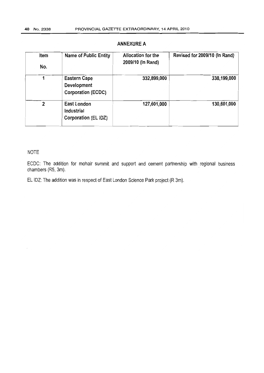| ltem<br>No. | <b>Name of Public Entity</b>                                    | Allocation for the<br>2009/10 (In Rand) | Revised for 2009/10 (In Rand) |
|-------------|-----------------------------------------------------------------|-----------------------------------------|-------------------------------|
|             | <b>Eastern Cape</b><br>Development<br><b>Corporation (ECDC)</b> | 332,899,000                             | 338,199,000                   |
| 2           | East London<br>Industrial<br>Corporation (EL IDZ)               | 127,601,000                             | 130,601,000                   |

#### NOTE

ECOC: The addition for mohair summit and support and cement partnership with regional business chambers (R5, 3m).

EL IDZ: The addition was in respect of East London Science Park project (R 3m).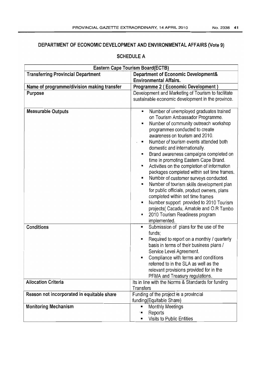## DEPARTMENT OF ECONOMIC DEVELOPMENT AND ENVIRONMENTAL AFFAIRS (Vote 9)

| Eastern Cape Tourism Board(ECTB)           |                                                                                                                                                                 |  |
|--------------------------------------------|-----------------------------------------------------------------------------------------------------------------------------------------------------------------|--|
| <b>Transferring Provincial Department</b>  | <b>Department of Economic Development&amp;</b>                                                                                                                  |  |
|                                            | <b>Environmental Affairs.</b>                                                                                                                                   |  |
| Name of programme/division making transfer | <b>Programme 2 (Economic Development)</b>                                                                                                                       |  |
| Purpose                                    | Development and Marketing of Tourism to facilitate                                                                                                              |  |
|                                            | sustainable economic development in the province.                                                                                                               |  |
|                                            |                                                                                                                                                                 |  |
| <b>Measurable Outputs</b>                  | Number of unemployed graduates trained<br>٠<br>on Tourism Ambassador Programme.<br>Number of community outreach workshop<br>к<br>programmes conducted to create |  |
|                                            | awareness on tourism and 2010.                                                                                                                                  |  |
|                                            | Number of tourism events attended both<br>domestic and internationally.                                                                                         |  |
|                                            | Brand awareness campaigns completed on<br>$\blacksquare$                                                                                                        |  |
|                                            | time in promoting Eastern Cape Brand.                                                                                                                           |  |
|                                            | Activities on the completion of information<br>$\blacksquare$<br>packages completed within set time frames.                                                     |  |
|                                            | Number of customer surveys conducted.<br>Е                                                                                                                      |  |
|                                            | Number of tourism skills development plan<br>п                                                                                                                  |  |
|                                            | for public officials, product owners, plans                                                                                                                     |  |
|                                            | completed within set time frames                                                                                                                                |  |
|                                            | Number support provided to 2010 Tourism<br>٠                                                                                                                    |  |
|                                            | projects( Cacadu, Amatole and O.R Tambo                                                                                                                         |  |
|                                            | 2010 Tourism Readiness program<br>п                                                                                                                             |  |
|                                            | implemented.                                                                                                                                                    |  |
| <b>Conditions</b>                          | Submission of plans for the use of the<br>ш<br>funds;                                                                                                           |  |
|                                            | Required to report on a monthly / quarterly<br>$\blacksquare$                                                                                                   |  |
|                                            | basis in terms of their business plans /                                                                                                                        |  |
|                                            | Service Level Agreement.                                                                                                                                        |  |
|                                            | Compliance with terms and conditions                                                                                                                            |  |
|                                            | referred to in the SLA as well as the                                                                                                                           |  |
|                                            | relevant provisions provided for in the                                                                                                                         |  |
|                                            | PFMA and Treasury regulations.                                                                                                                                  |  |
| <b>Allocation Criteria</b>                 | Its in line with the Norms & Standards for funding                                                                                                              |  |
|                                            | <b>Transfers</b>                                                                                                                                                |  |
| Reason not incorporated in equitable share | Funding of the project is a provincial                                                                                                                          |  |
|                                            | funding(Equitable Share)                                                                                                                                        |  |
| <b>Monitoring Mechanism</b>                | <b>Monthly Meetings</b>                                                                                                                                         |  |
|                                            | Reports                                                                                                                                                         |  |
|                                            | Visits to Public Entities                                                                                                                                       |  |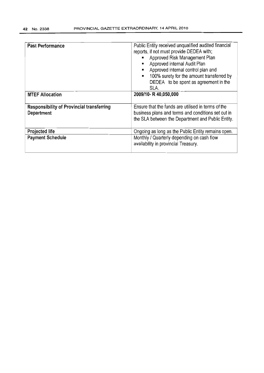| <b>Past Performance</b>                                        | Public Entity received unqualified audited financial<br>reports, if not must provide DEDEA with;<br>Approved Risk Management Plan<br>$\blacksquare$<br>Approved internal Audit Plan<br>$\blacksquare$<br>Approved internal control plan and<br>$\blacksquare$<br>100% surety for the amount transferred by<br>$\blacksquare$<br>DEDEA to be spent as agreement in the<br>SLA. |
|----------------------------------------------------------------|-------------------------------------------------------------------------------------------------------------------------------------------------------------------------------------------------------------------------------------------------------------------------------------------------------------------------------------------------------------------------------|
| <b>MTEF Allocation</b>                                         | 2009/10- R 40,050,000                                                                                                                                                                                                                                                                                                                                                         |
| <b>Responsibility of Provincial transferring</b><br>Department | Ensure that the funds are utilised in terms of the<br>business plans and terms and conditions set out in<br>the SLA between the Department and Public Entity.                                                                                                                                                                                                                 |
| <b>Projected life</b>                                          | Ongoing as long as the Public Entity remains open.                                                                                                                                                                                                                                                                                                                            |
| <b>Payment Schedule</b>                                        | Monthly / Quarterly depending on cash flow<br>availability in provincial Treasury.                                                                                                                                                                                                                                                                                            |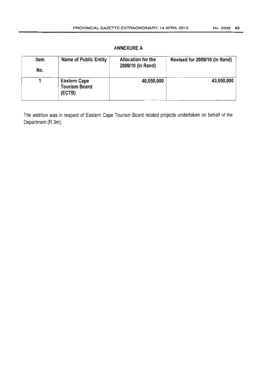| Item<br>No. | Name of Public Entity                                 | Allocation for the<br>2009/10 (In Rand) | Revised for 2009/10 (In Rand) |
|-------------|-------------------------------------------------------|-----------------------------------------|-------------------------------|
|             | <b>Eastern Cape</b><br><b>Tourism Board</b><br>(ECTB) | 40,050,000                              | 43,050,000                    |

The addition was in respect of Eastern Cape Tourism Board related projects undertaken on behalf of the Department (R 3m).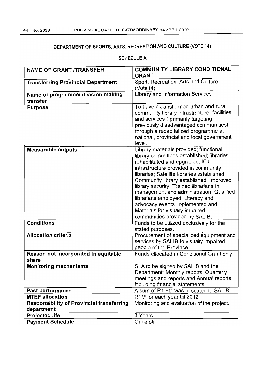# DEPARTMENT OF SPORTS, ARTS, RECREATION AND CULTURE (VOTE 14)

| <b>NAME OF GRANT /TRANSFER</b>                                 | <b>COMMUNITY LIBRARY CONDITIONAL</b><br><b>GRANT</b>                                                                                                                                                                                                                                                                                                                                                                                                                                         |  |
|----------------------------------------------------------------|----------------------------------------------------------------------------------------------------------------------------------------------------------------------------------------------------------------------------------------------------------------------------------------------------------------------------------------------------------------------------------------------------------------------------------------------------------------------------------------------|--|
| <b>Transferring Provincial Department</b>                      | Sport, Recreation, Arts and Culture<br>(Vote14)                                                                                                                                                                                                                                                                                                                                                                                                                                              |  |
| Name of programme/ division making<br>transfer                 | Library and Information Services                                                                                                                                                                                                                                                                                                                                                                                                                                                             |  |
| <b>Purpose</b>                                                 | To have a transformed urban and rural<br>community library infrastructure, facilities<br>and services (primarily targeting<br>previously disadvantaged communities)<br>through a recapitalized programme at<br>national, provincial and local government<br>level.                                                                                                                                                                                                                           |  |
| <b>Measurable outputs</b>                                      | Library materials provided; functional<br>library committees established; libraries<br>rehabilitated and upgraded; ICT<br>infrastructure provided in community<br>libraries; Satellite libraries established;<br>Community library established; Improved<br>library security; Trained librarians in<br>management and administration; Qualified<br>librarians employed; Literacy and<br>advocacy events implemented and<br>Materials for visually impaired<br>communities provided by SALIB. |  |
| <b>Conditions</b>                                              | Funds to be utilized exclusively for the<br>stated purposes.                                                                                                                                                                                                                                                                                                                                                                                                                                 |  |
| <b>Allocation criteria</b>                                     | Procurement of specialized equipment and<br>services by SALIB to visually impaired<br>people of the Province.                                                                                                                                                                                                                                                                                                                                                                                |  |
| Reason not incorporated in equitable<br>share                  | Funds allocated in Conditional Grant only                                                                                                                                                                                                                                                                                                                                                                                                                                                    |  |
| <b>Monitoring mechanisms</b>                                   | SLA to be signed by SALIB and the<br>Department; Monthly reports; Quarterly<br>meetings and reports and Annual reports<br>including financial statements.                                                                                                                                                                                                                                                                                                                                    |  |
| Past performance                                               | A sum of R1,9M was allocated to SALIB                                                                                                                                                                                                                                                                                                                                                                                                                                                        |  |
| <b>MTEF allocation</b>                                         | R1M for each year till 2012                                                                                                                                                                                                                                                                                                                                                                                                                                                                  |  |
| <b>Responsibility of Provincial transferring</b><br>department | Monitoring and evaluation of the project.                                                                                                                                                                                                                                                                                                                                                                                                                                                    |  |
| <b>Projected life</b>                                          | 3 Years                                                                                                                                                                                                                                                                                                                                                                                                                                                                                      |  |
| <b>Payment Schedule</b>                                        | Once off                                                                                                                                                                                                                                                                                                                                                                                                                                                                                     |  |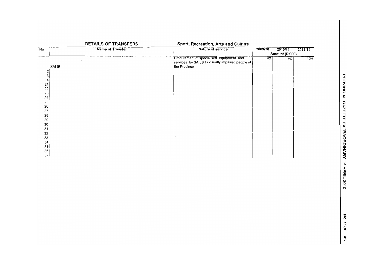|                                            | DETAILS OF TRANSFERS | Sport, Recreation, Arts and Culture                                                                          |         |                |         |
|--------------------------------------------|----------------------|--------------------------------------------------------------------------------------------------------------|---------|----------------|---------|
| $\overline{N_{\rm O}}$                     | Name of Transfer     | Nature of service                                                                                            | 2009/10 | 2010/11        | 2011/12 |
|                                            |                      |                                                                                                              |         | Amount (R'000) |         |
| 1 SALIB                                    |                      | Procurement of specialised equipment and<br>services by SAILB to visually impaired people of<br>the Province | 1000    | 1000           | 1000    |
| $\begin{array}{c} 2 \\ 3 \\ 4 \end{array}$ |                      |                                                                                                              |         |                |         |
|                                            |                      |                                                                                                              |         |                |         |
| $21$<br>$22$<br>$23$<br>$24$               |                      |                                                                                                              |         |                |         |
| $25^{1}$                                   |                      |                                                                                                              |         |                |         |
| 26 <sup>1</sup><br>27                      |                      |                                                                                                              |         |                |         |
| 28<br>29                                   |                      |                                                                                                              |         |                |         |
| $\begin{array}{c c} 30 \\ 31 \end{array}$  |                      |                                                                                                              |         |                |         |
| $\frac{32}{33}$                            |                      |                                                                                                              |         |                |         |
| $\begin{array}{c} 34 \\ 35 \end{array}$    |                      |                                                                                                              |         |                |         |
| $\begin{array}{c} 36 \\ 37 \end{array}$    |                      |                                                                                                              |         |                |         |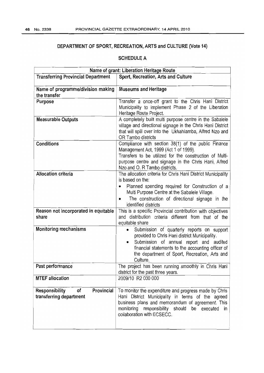## **DEPARTMENT OF SPORT, RECREATION, ARTS and CULTURE (Vote 14)**

| Name of grant: Liberation Heritage Route                             |                                                                                                                                                                                                                                                                       |  |
|----------------------------------------------------------------------|-----------------------------------------------------------------------------------------------------------------------------------------------------------------------------------------------------------------------------------------------------------------------|--|
| <b>Transferring Provincial Department</b>                            | Sport, Recreation, Arts and Culture                                                                                                                                                                                                                                   |  |
| Name of programme/division making<br>the transfer                    | <b>Museums and Heritage</b>                                                                                                                                                                                                                                           |  |
| Purpose                                                              | Transfer a once-off grant to the Chris Hani District<br>Municipality to implement Phase 2 of the Liberation<br>Heritage Route Project.                                                                                                                                |  |
| <b>Measurable Outputs</b>                                            | A completely built multi purpose centre in the Sabalele<br>village and directional signage in the Chris Hani District<br>that will spill over into the Ukhahlamba, Alfred Nzo and<br>OR Tambo districts                                                               |  |
| <b>Conditions</b>                                                    | Compliance with section 38(1) of the public Finance<br>Management Act, 1999 (Act 1 of 1999).<br>Transfers to be utilized for the construction of Multi-<br>purpose centre and signage in the Chris Hani, Alfred<br>Nzo and O. R Tambo districts.                      |  |
| <b>Allocation criteria</b>                                           | The allocation criteria for Chris Hani District Municipality<br>is based on the:<br>Planned spending required for Construction of a<br>Multi Purpose Centre at the Sabalele Village.<br>The construction of directional signage in the<br>identified districts        |  |
| Reason not incorporated in equitable<br>share                        | This is a specific Provincial contribution with objectives<br>and distribution criteria different from that of the<br>equitable share                                                                                                                                 |  |
| <b>Monitoring mechanisms</b>                                         | Submission of quarterly reports on support<br>provided to Chris Hani district Municipality.<br>Submission of annual report and audited<br>$\bullet$<br>financial statements to the accounting officer of<br>the department of Sport, Recreation, Arts and<br>Culture. |  |
| Past performance                                                     | The project has been running smoothly in Chris Hani<br>district for the past three years.                                                                                                                                                                             |  |
| <b>MTEF allocation</b>                                               | 2009/10 R2 000 000                                                                                                                                                                                                                                                    |  |
| Provincial<br><b>Responsibility</b><br>of<br>transferring department | To monitor the expenditure and progress made by Chris<br>Hani District Municipality in terms of the agreed<br>business plans and memorandum of agreement. This<br>monitoring responsibility should<br>be executed in<br>collaboration with ECSECC.                    |  |